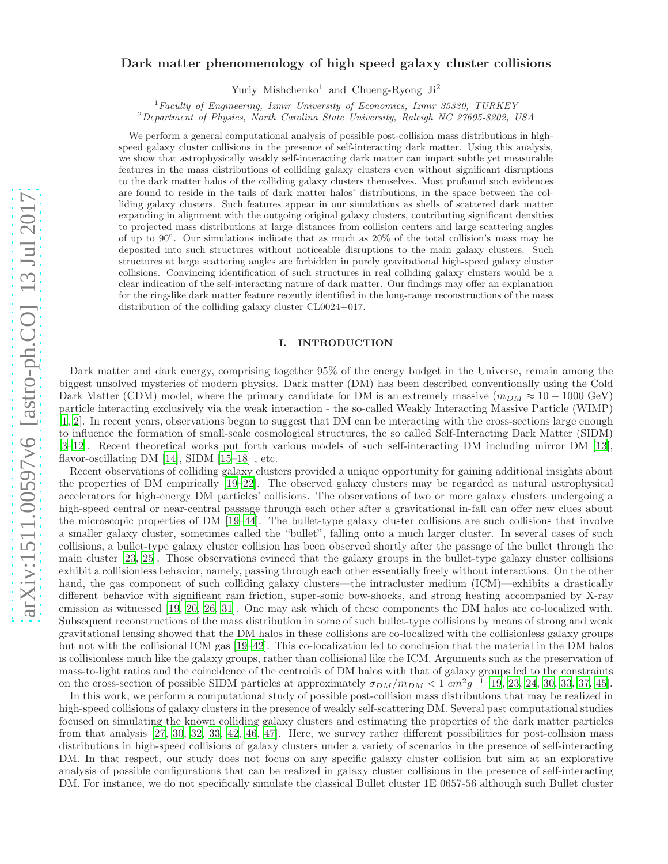# Dark matter phenomenology of high speed galaxy cluster collisions

Yuriy Mishchenko<sup>1</sup> and Chueng-Ryong Ji<sup>2</sup>

 $1$  Faculty of Engineering, Izmir University of Economics, Izmir 35330, TURKEY <sup>2</sup>Department of Physics, North Carolina State University, Raleigh NC 27695-8202, USA

We perform a general computational analysis of possible post-collision mass distributions in highspeed galaxy cluster collisions in the presence of self-interacting dark matter. Using this analysis, we show that astrophysically weakly self-interacting dark matter can impart subtle yet measurable features in the mass distributions of colliding galaxy clusters even without significant disruptions to the dark matter halos of the colliding galaxy clusters themselves. Most profound such evidences are found to reside in the tails of dark matter halos' distributions, in the space between the colliding galaxy clusters. Such features appear in our simulations as shells of scattered dark matter expanding in alignment with the outgoing original galaxy clusters, contributing significant densities to projected mass distributions at large distances from collision centers and large scattering angles of up to 90◦ . Our simulations indicate that as much as 20% of the total collision's mass may be deposited into such structures without noticeable disruptions to the main galaxy clusters. Such structures at large scattering angles are forbidden in purely gravitational high-speed galaxy cluster collisions. Convincing identification of such structures in real colliding galaxy clusters would be a clear indication of the self-interacting nature of dark matter. Our findings may offer an explanation for the ring-like dark matter feature recently identified in the long-range reconstructions of the mass distribution of the colliding galaxy cluster CL0024+017.

## I. INTRODUCTION

Dark matter and dark energy, comprising together 95% of the energy budget in the Universe, remain among the biggest unsolved mysteries of modern physics. Dark matter (DM) has been described conventionally using the Cold Dark Matter (CDM) model, where the primary candidate for DM is an extremely massive  $(m_{DM} \approx 10 - 1000 \text{ GeV})$ particle interacting exclusively via the weak interaction - the so-called Weakly Interacting Massive Particle (WIMP) [\[1,](#page-18-0) [2\]](#page-18-1). In recent years, observations began to suggest that DM can be interacting with the cross-sections large enough to influence the formation of small-scale cosmological structures, the so called Self-Interacting Dark Matter (SIDM) [\[3](#page-18-2)[–12\]](#page-18-3). Recent theoretical works put forth various models of such self-interacting DM including mirror DM [\[13\]](#page-18-4), flavor-oscillating DM [\[14](#page-18-5)], SIDM [\[15](#page-18-6)[–18](#page-19-0)] , etc.

Recent observations of colliding galaxy clusters provided a unique opportunity for gaining additional insights about the properties of DM empirically [\[19](#page-19-1)[–22\]](#page-19-2). The observed galaxy clusters may be regarded as natural astrophysical accelerators for high-energy DM particles' collisions. The observations of two or more galaxy clusters undergoing a high-speed central or near-central passage through each other after a gravitational in-fall can offer new clues about the microscopic properties of DM [\[19](#page-19-1)[–44](#page-19-3)]. The bullet-type galaxy cluster collisions are such collisions that involve a smaller galaxy cluster, sometimes called the "bullet", falling onto a much larger cluster. In several cases of such collisions, a bullet-type galaxy cluster collision has been observed shortly after the passage of the bullet through the main cluster [\[23,](#page-19-4) [25\]](#page-19-5). Those observations evinced that the galaxy groups in the bullet-type galaxy cluster collisions exhibit a collisionless behavior, namely, passing through each other essentially freely without interactions. On the other hand, the gas component of such colliding galaxy clusters—the intracluster medium (ICM)—exhibits a drastically different behavior with significant ram friction, super-sonic bow-shocks, and strong heating accompanied by X-ray emission as witnessed [\[19,](#page-19-1) [20,](#page-19-6) [26](#page-19-7), [31](#page-19-8)]. One may ask which of these components the DM halos are co-localized with. Subsequent reconstructions of the mass distribution in some of such bullet-type collisions by means of strong and weak gravitational lensing showed that the DM halos in these collisions are co-localized with the collisionless galaxy groups but not with the collisional ICM gas [\[19](#page-19-1)[–42\]](#page-19-9). This co-localization led to conclusion that the material in the DM halos is collisionless much like the galaxy groups, rather than collisional like the ICM. Arguments such as the preservation of mass-to-light ratios and the coincidence of the centroids of DM halos with that of galaxy groups led to the constraints on the cross-section of possible SIDM particles at approximately  $\sigma_{DM}/m_{DM} < 1$   $cm^2g^{-1}$  [\[19](#page-19-1), [23](#page-19-4), [24](#page-19-10), [30](#page-19-11), [33](#page-19-12), [37](#page-19-13), [45](#page-19-14)].

In this work, we perform a computational study of possible post-collision mass distributions that may be realized in high-speed collisions of galaxy clusters in the presence of weakly self-scattering DM. Several past computational studies focused on simulating the known colliding galaxy clusters and estimating the properties of the dark matter particles from that analysis [\[27,](#page-19-15) [30](#page-19-11), [32](#page-19-16), [33,](#page-19-12) [42,](#page-19-9) [46,](#page-19-17) [47](#page-19-18)]. Here, we survey rather different possibilities for post-collision mass distributions in high-speed collisions of galaxy clusters under a variety of scenarios in the presence of self-interacting DM. In that respect, our study does not focus on any specific galaxy cluster collision but aim at an explorative analysis of possible configurations that can be realized in galaxy cluster collisions in the presence of self-interacting DM. For instance, we do not specifically simulate the classical Bullet cluster 1E 0657-56 although such Bullet cluster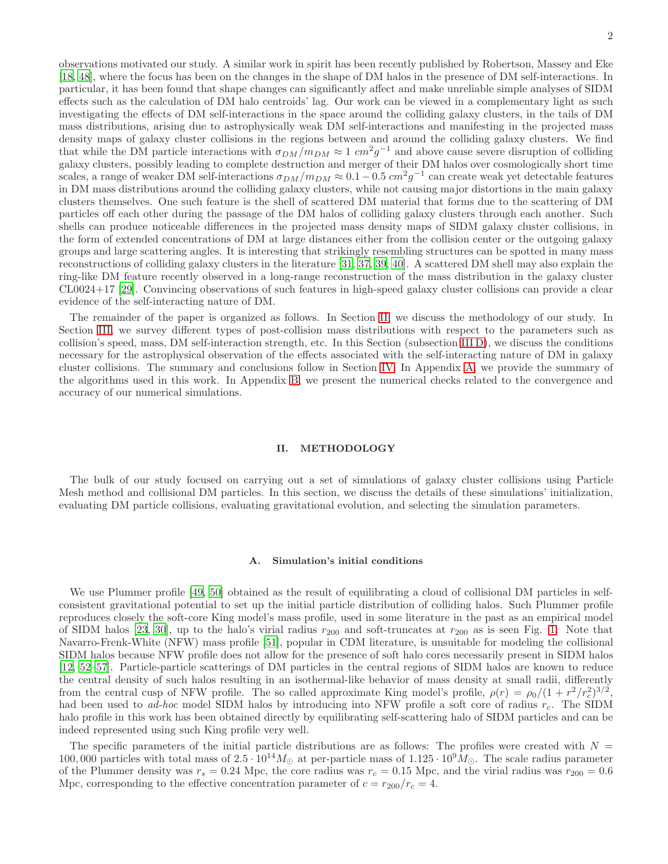observations motivated our study. A similar work in spirit has been recently published by Robertson, Massey and Eke [\[18,](#page-19-0) [48](#page-19-19)], where the focus has been on the changes in the shape of DM halos in the presence of DM self-interactions. In particular, it has been found that shape changes can significantly affect and make unreliable simple analyses of SIDM effects such as the calculation of DM halo centroids' lag. Our work can be viewed in a complementary light as such investigating the effects of DM self-interactions in the space around the colliding galaxy clusters, in the tails of DM mass distributions, arising due to astrophysically weak DM self-interactions and manifesting in the projected mass density maps of galaxy cluster collisions in the regions between and around the colliding galaxy clusters. We find that while the DM particle interactions with  $\sigma_{DM}/m_{DM} \approx 1$  cm<sup>2</sup>g<sup>-1</sup> and above cause severe disruption of colliding galaxy clusters, possibly leading to complete destruction and merger of their DM halos over cosmologically short time scales, a range of weaker DM self-interactions  $\sigma_{DM}/m_{DM} \approx 0.1-0.5$   $cm^2g^{-1}$  can create weak yet detectable features in DM mass distributions around the colliding galaxy clusters, while not causing major distortions in the main galaxy clusters themselves. One such feature is the shell of scattered DM material that forms due to the scattering of DM particles off each other during the passage of the DM halos of colliding galaxy clusters through each another. Such shells can produce noticeable differences in the projected mass density maps of SIDM galaxy cluster collisions, in the form of extended concentrations of DM at large distances either from the collision center or the outgoing galaxy groups and large scattering angles. It is interesting that strikingly resembling structures can be spotted in many mass reconstructions of colliding galaxy clusters in the literature [\[31](#page-19-8), [37,](#page-19-13) [39](#page-19-20), [40\]](#page-19-21). A scattered DM shell may also explain the ring-like DM feature recently observed in a long-range reconstruction of the mass distribution in the galaxy cluster CL0024+17 [\[29](#page-19-22)]. Convincing observations of such features in high-speed galaxy cluster collisions can provide a clear evidence of the self-interacting nature of DM.

The remainder of the paper is organized as follows. In Section [II,](#page-1-0) we discuss the methodology of our study. In Section [III,](#page-5-0) we survey different types of post-collision mass distributions with respect to the parameters such as collision's speed, mass, DM self-interaction strength, etc. In this Section (subsection [III D\)](#page-7-0), we discuss the conditions necessary for the astrophysical observation of the effects associated with the self-interacting nature of DM in galaxy cluster collisions. The summary and conclusions follow in Section [IV.](#page-15-0) In Appendix [A,](#page-16-0) we provide the summary of the algorithms used in this work. In Appendix [B,](#page-17-0) we present the numerical checks related to the convergence and accuracy of our numerical simulations.

#### <span id="page-1-0"></span>II. METHODOLOGY

The bulk of our study focused on carrying out a set of simulations of galaxy cluster collisions using Particle Mesh method and collisional DM particles. In this section, we discuss the details of these simulations' initialization, evaluating DM particle collisions, evaluating gravitational evolution, and selecting the simulation parameters.

#### <span id="page-1-1"></span>A. Simulation's initial conditions

We use Plummer profile [\[49](#page-19-23), [50\]](#page-19-24) obtained as the result of equilibrating a cloud of collisional DM particles in selfconsistent gravitational potential to set up the initial particle distribution of colliding halos. Such Plummer profile reproduces closely the soft-core King model's mass profile, used in some literature in the past as an empirical model of SIDM halos [\[23](#page-19-4), [30](#page-19-11)], up to the halo's virial radius  $r_{200}$  and soft-truncates at  $r_{200}$  as is seen Fig. [1.](#page-2-0) Note that Navarro-Frenk-White (NFW) mass profile [\[51\]](#page-19-25), popular in CDM literature, is unsuitable for modeling the collisional SIDM halos because NFW profile does not allow for the presence of soft halo cores necessarily present in SIDM halos [\[12,](#page-18-3) [52](#page-19-26)[–57](#page-19-27)]. Particle-particle scatterings of DM particles in the central regions of SIDM halos are known to reduce the central density of such halos resulting in an isothermal-like behavior of mass density at small radii, differently from the central cusp of NFW profile. The so called approximate King model's profile,  $\rho(r) = \rho_0/(1 + r^2/r_c^2)^{3/2}$ , had been used to ad-hoc model SIDM halos by introducing into NFW profile a soft core of radius  $r_c$ . The SIDM halo profile in this work has been obtained directly by equilibrating self-scattering halo of SIDM particles and can be indeed represented using such King profile very well.

The specific parameters of the initial particle distributions are as follows: The profiles were created with  $N =$ 100, 000 particles with total mass of  $2.5 \cdot 10^{14} M_{\odot}$  at per-particle mass of  $1.125 \cdot 10^{9} M_{\odot}$ . The scale radius parameter of the Plummer density was  $r_s = 0.24$  Mpc, the core radius was  $r_c = 0.15$  Mpc, and the virial radius was  $r_{200} = 0.6$ Mpc, corresponding to the effective concentration parameter of  $c = r_{200}/r_c = 4$ .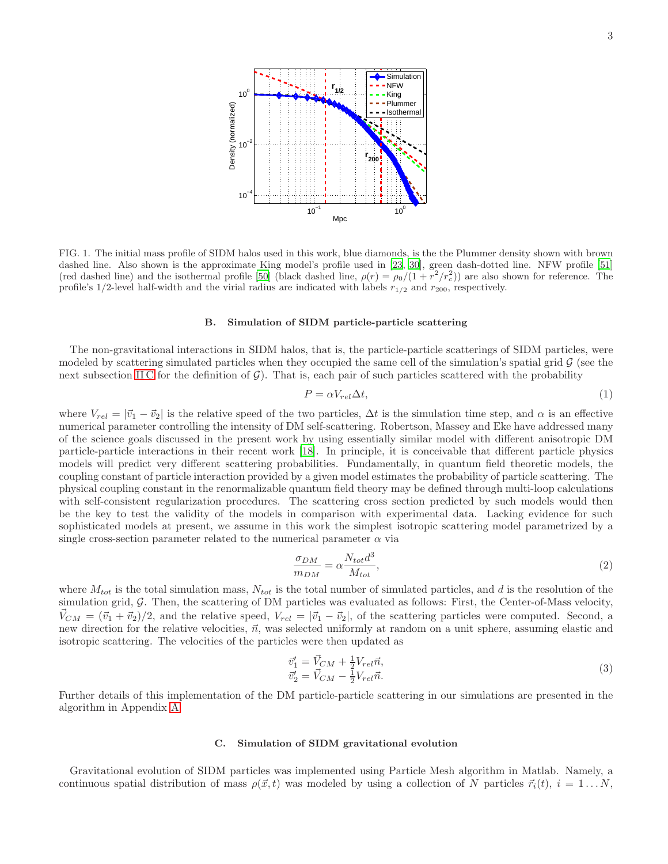

<span id="page-2-0"></span>FIG. 1. The initial mass profile of SIDM halos used in this work, blue diamonds, is the the Plummer density shown with brown dashed line. Also shown is the approximate King model's profile used in [\[23](#page-19-4), [30](#page-19-11)], green dash-dotted line. NFW profile [\[51](#page-19-25)] (red dashed line) and the isothermal profile [\[50\]](#page-19-24) (black dashed line,  $\rho(r) = \rho_0/(1 + r^2/r_c^2)$ ) are also shown for reference. The profile's 1/2-level half-width and the virial radius are indicated with labels  $r_{1/2}$  and  $r_{200}$ , respectively.

## <span id="page-2-2"></span>B. Simulation of SIDM particle-particle scattering

The non-gravitational interactions in SIDM halos, that is, the particle-particle scatterings of SIDM particles, were modeled by scattering simulated particles when they occupied the same cell of the simulation's spatial grid  $\mathcal G$  (see the next subsection IIC for the definition of  $G$ ). That is, each pair of such particles scattered with the probability

$$
P = \alpha V_{rel} \Delta t,\tag{1}
$$

where  $V_{rel} = |\vec{v_1} - \vec{v_2}|$  is the relative speed of the two particles,  $\Delta t$  is the simulation time step, and  $\alpha$  is an effective numerical parameter controlling the intensity of DM self-scattering. Robertson, Massey and Eke have addressed many of the science goals discussed in the present work by using essentially similar model with different anisotropic DM particle-particle interactions in their recent work [\[18\]](#page-19-0). In principle, it is conceivable that different particle physics models will predict very different scattering probabilities. Fundamentally, in quantum field theoretic models, the coupling constant of particle interaction provided by a given model estimates the probability of particle scattering. The physical coupling constant in the renormalizable quantum field theory may be defined through multi-loop calculations with self-consistent regularization procedures. The scattering cross section predicted by such models would then be the key to test the validity of the models in comparison with experimental data. Lacking evidence for such sophisticated models at present, we assume in this work the simplest isotropic scattering model parametrized by a single cross-section parameter related to the numerical parameter  $\alpha$  via

<span id="page-2-3"></span>
$$
\frac{\sigma_{DM}}{m_{DM}} = \alpha \frac{N_{tot} d^3}{M_{tot}},\tag{2}
$$

where  $M_{tot}$  is the total simulation mass,  $N_{tot}$  is the total number of simulated particles, and d is the resolution of the simulation grid, G. Then, the scattering of DM particles was evaluated as follows: First, the Center-of-Mass velocity,  $\vec{V}_{CM} = (\vec{v}_1 + \vec{v}_2)/2$ , and the relative speed,  $V_{rel} = |\vec{v}_1 - \vec{v}_2|$ , of the scattering particles were computed. Second, a new direction for the relative velocities,  $\vec{n}$ , was selected uniformly at random on a unit sphere, assuming elastic and isotropic scattering. The velocities of the particles were then updated as

$$
\vec{v}'_1 = \vec{V}_{CM} + \frac{1}{2}V_{rel}\vec{n}, \n\vec{v}'_2 = \vec{V}_{CM} - \frac{1}{2}V_{rel}\vec{n}.
$$
\n(3)

Further details of this implementation of the DM particle-particle scattering in our simulations are presented in the algorithm in Appendix [A.](#page-16-0)

## <span id="page-2-1"></span>C. Simulation of SIDM gravitational evolution

Gravitational evolution of SIDM particles was implemented using Particle Mesh algorithm in Matlab. Namely, a continuous spatial distribution of mass  $\rho(\vec{x}, t)$  was modeled by using a collection of N particles  $\vec{r}_i(t)$ ,  $i = 1...N$ ,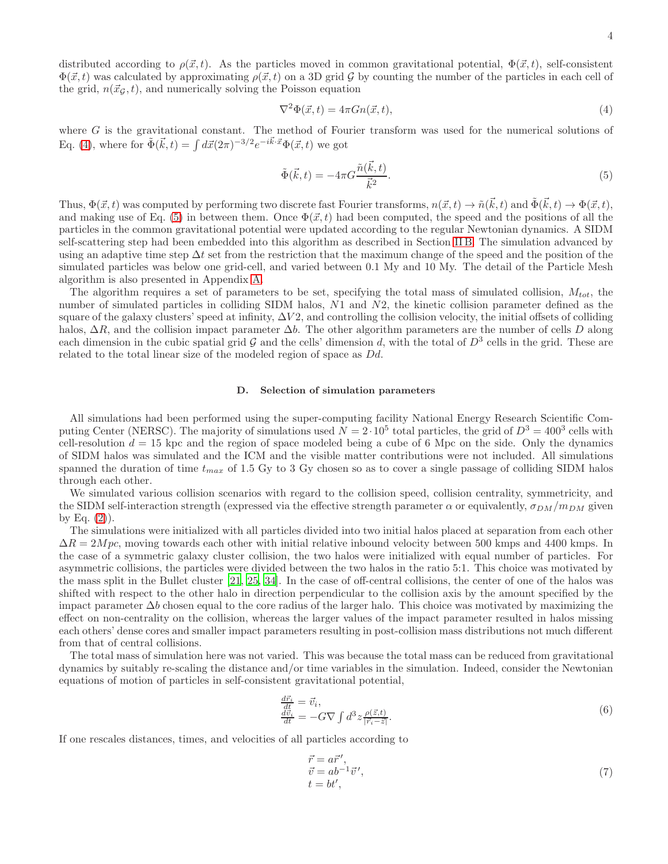distributed according to  $\rho(\vec{x}, t)$ . As the particles moved in common gravitational potential,  $\Phi(\vec{x}, t)$ , self-consistent  $\Phi(\vec{x}, t)$  was calculated by approximating  $\rho(\vec{x}, t)$  on a 3D grid G by counting the number of the particles in each cell of the grid,  $n(\vec{x}_G, t)$ , and numerically solving the Poisson equation

<span id="page-3-0"></span>
$$
\nabla^2 \Phi(\vec{x}, t) = 4\pi G n(\vec{x}, t),\tag{4}
$$

where G is the gravitational constant. The method of Fourier transform was used for the numerical solutions of Eq. [\(4\)](#page-3-0), where for  $\tilde{\Phi}(\vec{k},t) = \int d\vec{x} (2\pi)^{-3/2} e^{-i\vec{k}\cdot\vec{x}} \Phi(\vec{x},t)$  we got

<span id="page-3-1"></span>
$$
\tilde{\Phi}(\vec{k},t) = -4\pi G \frac{\tilde{n}(\vec{k},t)}{\vec{k}^2}.
$$
\n(5)

Thus,  $\Phi(\vec{x},t)$  was computed by performing two discrete fast Fourier transforms,  $n(\vec{x},t) \to \tilde{n}(\vec{k},t)$  and  $\tilde{\Phi}(\vec{k},t) \to \Phi(\vec{x},t)$ , and making use of Eq. [\(5\)](#page-3-1) in between them. Once  $\Phi(\vec{x}, t)$  had been computed, the speed and the positions of all the particles in the common gravitational potential were updated according to the regular Newtonian dynamics. A SIDM self-scattering step had been embedded into this algorithm as described in Section [II B.](#page-2-2) The simulation advanced by using an adaptive time step  $\Delta t$  set from the restriction that the maximum change of the speed and the position of the simulated particles was below one grid-cell, and varied between 0.1 My and 10 My. The detail of the Particle Mesh algorithm is also presented in Appendix [A.](#page-16-0)

The algorithm requires a set of parameters to be set, specifying the total mass of simulated collision,  $M_{tot}$ , the number of simulated particles in colliding SIDM halos, N1 and N2, the kinetic collision parameter defined as the square of the galaxy clusters' speed at infinity,  $\Delta V2$ , and controlling the collision velocity, the initial offsets of colliding halos,  $\Delta R$ , and the collision impact parameter  $\Delta b$ . The other algorithm parameters are the number of cells D along each dimension in the cubic spatial grid  $G$  and the cells' dimension d, with the total of  $D^3$  cells in the grid. These are related to the total linear size of the modeled region of space as Dd.

### D. Selection of simulation parameters

All simulations had been performed using the super-computing facility National Energy Research Scientific Computing Center (NERSC). The majority of simulations used  $N = 2 \cdot 10^5$  total particles, the grid of  $D^3 = 400^3$  cells with cell-resolution  $d = 15$  kpc and the region of space modeled being a cube of 6 Mpc on the side. Only the dynamics of SIDM halos was simulated and the ICM and the visible matter contributions were not included. All simulations spanned the duration of time  $t_{max}$  of 1.5 Gy to 3 Gy chosen so as to cover a single passage of colliding SIDM halos through each other.

We simulated various collision scenarios with regard to the collision speed, collision centrality, symmetricity, and the SIDM self-interaction strength (expressed via the effective strength parameter  $\alpha$  or equivalently,  $\sigma_{DM}/m_{DM}$  given by Eq.  $(2)$ ).

The simulations were initialized with all particles divided into two initial halos placed at separation from each other  $\Delta R = 2Mpc$ , moving towards each other with initial relative inbound velocity between 500 kmps and 4400 kmps. In the case of a symmetric galaxy cluster collision, the two halos were initialized with equal number of particles. For asymmetric collisions, the particles were divided between the two halos in the ratio 5:1. This choice was motivated by the mass split in the Bullet cluster [\[21,](#page-19-28) [25,](#page-19-5) [34\]](#page-19-29). In the case of off-central collisions, the center of one of the halos was shifted with respect to the other halo in direction perpendicular to the collision axis by the amount specified by the impact parameter  $\Delta b$  chosen equal to the core radius of the larger halo. This choice was motivated by maximizing the effect on non-centrality on the collision, whereas the larger values of the impact parameter resulted in halos missing each others' dense cores and smaller impact parameters resulting in post-collision mass distributions not much different from that of central collisions.

The total mass of simulation here was not varied. This was because the total mass can be reduced from gravitational dynamics by suitably re-scaling the distance and/or time variables in the simulation. Indeed, consider the Newtonian equations of motion of particles in self-consistent gravitational potential,

$$
\begin{array}{l}\n\frac{d\vec{r}_i}{dt} = \vec{v}_i, \\
\frac{d\vec{v}_i}{dt} = -G\nabla \int d^3z \frac{\rho(\vec{z},t)}{|\vec{r}_i - \vec{z}|}.\n\end{array} \tag{6}
$$

If one rescales distances, times, and velocities of all particles according to

<span id="page-3-2"></span>
$$
\begin{aligned}\n\vec{r} &= a\vec{r}', \\
\vec{v} &= ab^{-1}\vec{v}', \\
t &= bt',\n\end{aligned} \tag{7}
$$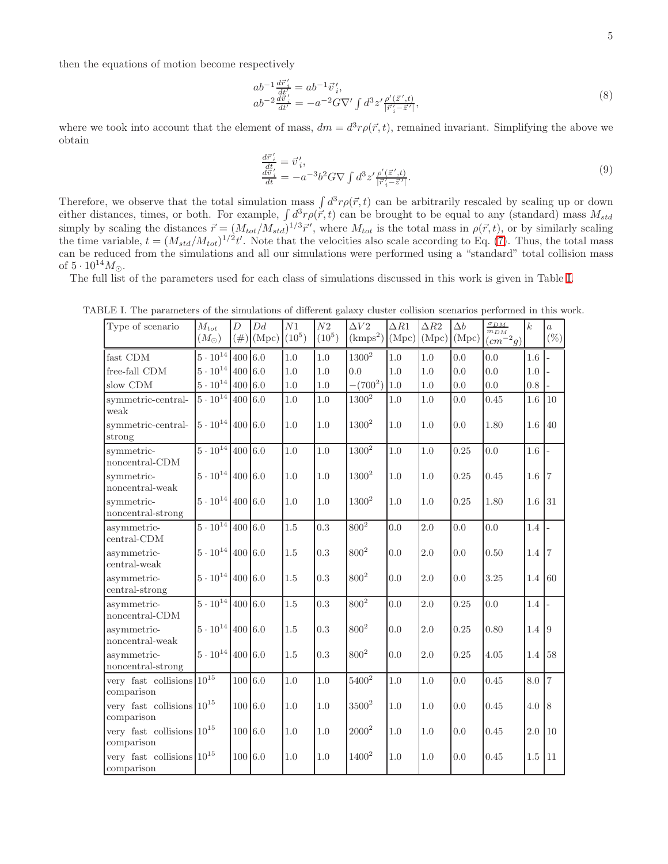then the equations of motion become respectively

$$
ab^{-1}\frac{d\vec{r}'}{dt'} = ab^{-1}\vec{v}'_i,ab^{-2}\frac{d\vec{v}'}{dt'} = -a^{-2}G\nabla'\int d^3z' \frac{\rho'(\vec{z}',t)}{|\vec{r}'_i - \vec{z}'|},
$$
\n(8)

where we took into account that the element of mass,  $dm = d^3r \rho(\vec{r}, t)$ , remained invariant. Simplifying the above we obtain

$$
\begin{array}{l}\n\frac{d\vec{r}'}{dt} = \vec{v}'_i, \\
\frac{d\vec{v}'}{dt} = -a^{-3}b^2 G \nabla \int d^3 z' \frac{\rho'(\vec{z}',t)}{|\vec{r}'_i - \vec{z}'|}.\n\end{array} \tag{9}
$$

Therefore, we observe that the total simulation mass  $\int d^3r \rho(\vec{r},t)$  can be arbitrarily rescaled by scaling up or down either distances, times, or both. For example,  $\int d^3r \rho(\vec{r},t)$  can be brought to be equal to any (standard) mass  $M_{std}$ simply by scaling the distances  $\vec{r} = (M_{tot}/M_{std})^{1/3}\vec{r}'$ , where  $M_{tot}$  is the total mass in  $\rho(\vec{r}, t)$ , or by similarly scaling the time variable,  $t = (M_{std}/M_{tot})^{1/2}t'$ . Note that the velocities also scale according to Eq. [\(7\)](#page-3-2). Thus, the total mass can be reduced from the simulations and all our simulations were performed using a "standard" total collision mass of  $5 \cdot 10^{14} M_{\odot}$ .

The full list of the parameters used for each class of simulations discussed in this work is given in Table [I.](#page-4-0)

<span id="page-4-0"></span>

| Type of scenario                               | $\mathcal{M}_{tot}$<br>$(M_{\odot})$ | D<br>$(\#)$ | Dd<br>(Mpc) | ${\cal N}1$<br>$(10^5)$ | ${\cal N}2$<br>$(10^5)$ | $\Delta V2$<br>(kmps <sup>2</sup> ) | $\Delta R1$<br>(Mpc) | $\Delta R2$<br>(Mpc) | $\Delta b$<br>(Mpc) | $\frac{\sigma_{DM}}{m_{DM}}$ (cm <sup>-2</sup> g) | $\boldsymbol{k}$ | $\overline{a}$<br>$(\%)$ |
|------------------------------------------------|--------------------------------------|-------------|-------------|-------------------------|-------------------------|-------------------------------------|----------------------|----------------------|---------------------|---------------------------------------------------|------------------|--------------------------|
| fast CDM                                       | $5 \cdot 10^{14}$                    | 400 6.0     |             | 1.0                     | 1.0                     | $1300^2$                            | 1.0                  | 1.0                  | 0.0                 | 0.0                                               | 1.6              |                          |
| free-fall CDM                                  | $5\cdot 10^{14}$                     | 400 6.0     |             | 1.0                     | 1.0                     | 0.0                                 | 1.0                  | 1.0                  | 0.0                 | 0.0                                               | $1.0\,$          |                          |
| slow CDM                                       | $5\cdot 10^{14}$                     | 400 6.0     |             | 1.0                     | 1.0                     | $-(700^2)$                          | 1.0                  | 1.0                  | 0.0                 | 0.0                                               | 0.8              |                          |
| symmetric-central-<br>weak                     | $5\cdot 10^{14}$                     | 400 6.0     |             | $1.0\,$                 | 1.0                     | $1300^2$                            | $1.0\,$              | $1.0\,$              | 0.0                 | 0.45                                              | $1.6\,$          | 10                       |
| symmetric-central-<br>strong                   | $5\cdot10^{14}$                      | 400 6.0     |             | 1.0                     | 1.0                     | $1300^2$                            | 1.0                  | 1.0                  | 0.0                 | 1.80                                              | 1.6              | 40                       |
| symmetric-<br>noncentral-CDM                   | $5 \cdot 10^{14}$                    | 400 6.0     |             | 1.0                     | 1.0                     | $1300^2\,$                          | 1.0                  | 1.0                  | 0.25                | 0.0                                               | 1.6              |                          |
| symmetric-<br>noncentral-weak                  | $5\cdot 10^{14}$                     | 400 6.0     |             | 1.0                     | 1.0                     | $1300^2$                            | 1.0                  | 1.0                  | 0.25                | 0.45                                              | $1.6$ 7          |                          |
| symmetric-<br>noncentral-strong                | $5\cdot 10^{14}$                     | 400 6.0     |             | 1.0                     | 1.0                     | $1300^2$                            | 1.0                  | 1.0                  | 0.25                | 1.80                                              | 1.6              | 31                       |
| asymmetric-<br>$central-CDM$                   | $5 \cdot 10^{14}$                    | 400 6.0     |             | 1.5                     | 0.3                     | $800^2\,$                           | 0.0                  | 2.0                  | 0.0                 | 0.0                                               | 1.4              | $\overline{a}$           |
| asymmetric-<br>central-weak                    | $5\cdot 10^{14}$                     | 400 6.0     |             | 1.5                     | 0.3                     | $800^2\,$                           | 0.0                  | $2.0\,$              | 0.0                 | 0.50                                              | 1.4              | 7                        |
| asymmetric-<br>$central\text{-strong}$         | $5\cdot 10^{14}$                     | 400 6.0     |             | 1.5                     | $0.3\,$                 | $800^2$                             | 0.0                  | 2.0                  | 0.0                 | 3.25                                              | 1.4              | -60                      |
| asymmetric-<br>noncentral-CDM                  | $5 \cdot 10^{14}$                    | 400 6.0     |             | 1.5                     | 0.3                     | $800^{2}$                           | 0.0                  | 2.0                  | 0.25                | 0.0                                               | 1.4              | $\overline{a}$           |
| asymmetric-<br>$\mbox{noncentral-weak}$        | $5\cdot10^{14}$                      | 400 6.0     |             | 1.5                     | 0.3                     | $800^2\,$                           | 0.0                  | 2.0                  | 0.25                | 0.80                                              | 1.4 9            |                          |
| asymmetric-<br>noncentral-strong               | $5\cdot 10^{14}$                     | 400 6.0     |             | 1.5                     | 0.3                     | $800^{2}$                           | 0.0                  | 2.0                  | 0.25                | 4.05                                              | 1.4 58           |                          |
| very fast collisions $10^{15}$<br>comparison   |                                      | 100 6.0     |             | 1.0                     | $1.0\,$                 | $5400^2$                            | 1.0                  | 1.0                  | 0.0                 | 0.45                                              | 8.0              | $\overline{7}$           |
| very fast collisions $10^{15}\,$<br>comparison |                                      | 100 6.0     |             | 1.0                     | 1.0                     | $3500^2$                            | 1.0                  | 1.0                  | 0.0                 | 0.45                                              | 4.0              | $\overline{8}$           |
| very fast collisions $10^{15}\,$<br>comparison |                                      | 100 6.0     |             | 1.0                     | 1.0                     | $2000^2$                            | $1.0\,$              | 1.0                  | 0.0                 | 0.45                                              | $2.0\,$          | 10                       |
| very fast collisions $10^{15}\,$<br>comparison |                                      | 100 6.0     |             | 1.0                     | 1.0                     | $1400^2$                            | $1.0\,$              | 1.0                  | 0.0                 | 0.45                                              | $1.5\,$          | 11                       |

TABLE I. The parameters of the simulations of different galaxy cluster collision scenarios performed in this work.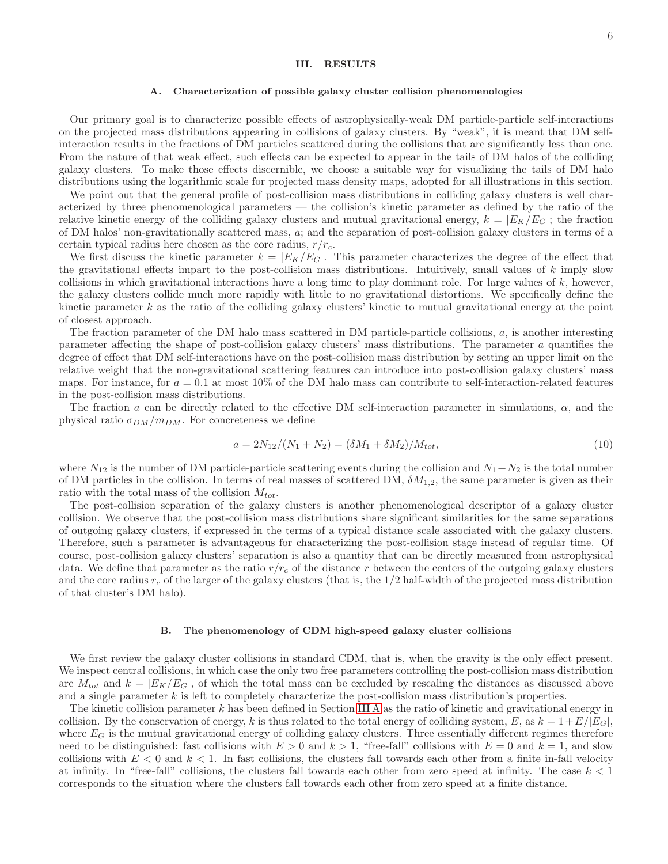## <span id="page-5-0"></span>III. RESULTS

#### <span id="page-5-1"></span>A. Characterization of possible galaxy cluster collision phenomenologies

Our primary goal is to characterize possible effects of astrophysically-weak DM particle-particle self-interactions on the projected mass distributions appearing in collisions of galaxy clusters. By "weak", it is meant that DM selfinteraction results in the fractions of DM particles scattered during the collisions that are significantly less than one. From the nature of that weak effect, such effects can be expected to appear in the tails of DM halos of the colliding galaxy clusters. To make those effects discernible, we choose a suitable way for visualizing the tails of DM halo distributions using the logarithmic scale for projected mass density maps, adopted for all illustrations in this section.

We point out that the general profile of post-collision mass distributions in colliding galaxy clusters is well characterized by three phenomenological parameters — the collision's kinetic parameter as defined by the ratio of the relative kinetic energy of the colliding galaxy clusters and mutual gravitational energy,  $k = |E_K/E_G|$ ; the fraction of DM halos' non-gravitationally scattered mass, a; and the separation of post-collision galaxy clusters in terms of a certain typical radius here chosen as the core radius,  $r/r_c$ .

We first discuss the kinetic parameter  $k = |E_K/E_G|$ . This parameter characterizes the degree of the effect that the gravitational effects impart to the post-collision mass distributions. Intuitively, small values of k imply slow collisions in which gravitational interactions have a long time to play dominant role. For large values of  $k$ , however, the galaxy clusters collide much more rapidly with little to no gravitational distortions. We specifically define the kinetic parameter k as the ratio of the colliding galaxy clusters' kinetic to mutual gravitational energy at the point of closest approach.

The fraction parameter of the DM halo mass scattered in DM particle-particle collisions,  $a$ , is another interesting parameter affecting the shape of post-collision galaxy clusters' mass distributions. The parameter a quantifies the degree of effect that DM self-interactions have on the post-collision mass distribution by setting an upper limit on the relative weight that the non-gravitational scattering features can introduce into post-collision galaxy clusters' mass maps. For instance, for  $a = 0.1$  at most 10% of the DM halo mass can contribute to self-interaction-related features in the post-collision mass distributions.

The fraction a can be directly related to the effective DM self-interaction parameter in simulations,  $\alpha$ , and the physical ratio  $\sigma_{DM}/m_{DM}$ . For concreteness we define

$$
a = 2N_{12}/(N_1 + N_2) = (\delta M_1 + \delta M_2)/M_{tot},\tag{10}
$$

where  $N_{12}$  is the number of DM particle-particle scattering events during the collision and  $N_1+N_2$  is the total number of DM particles in the collision. In terms of real masses of scattered DM,  $\delta M_{1,2}$ , the same parameter is given as their ratio with the total mass of the collision  $M_{tot}$ .

The post-collision separation of the galaxy clusters is another phenomenological descriptor of a galaxy cluster collision. We observe that the post-collision mass distributions share significant similarities for the same separations of outgoing galaxy clusters, if expressed in the terms of a typical distance scale associated with the galaxy clusters. Therefore, such a parameter is advantageous for characterizing the post-collision stage instead of regular time. Of course, post-collision galaxy clusters' separation is also a quantity that can be directly measured from astrophysical data. We define that parameter as the ratio  $r/r_c$  of the distance r between the centers of the outgoing galaxy clusters and the core radius  $r_c$  of the larger of the galaxy clusters (that is, the  $1/2$  half-width of the projected mass distribution of that cluster's DM halo).

#### B. The phenomenology of CDM high-speed galaxy cluster collisions

We first review the galaxy cluster collisions in standard CDM, that is, when the gravity is the only effect present. We inspect central collisions, in which case the only two free parameters controlling the post-collision mass distribution are  $M_{tot}$  and  $k = |E_K/E_G|$ , of which the total mass can be excluded by rescaling the distances as discussed above and a single parameter  $k$  is left to completely characterize the post-collision mass distribution's properties.

The kinetic collision parameter  $k$  has been defined in Section [III A](#page-5-1) as the ratio of kinetic and gravitational energy in collision. By the conservation of energy, k is thus related to the total energy of colliding system, E, as  $k = 1 + E/|E_G|$ , where  $E_G$  is the mutual gravitational energy of colliding galaxy clusters. Three essentially different regimes therefore need to be distinguished: fast collisions with  $E > 0$  and  $k > 1$ , "free-fall" collisions with  $E = 0$  and  $k = 1$ , and slow collisions with  $E < 0$  and  $k < 1$ . In fast collisions, the clusters fall towards each other from a finite in-fall velocity at infinity. In "free-fall" collisions, the clusters fall towards each other from zero speed at infinity. The case  $k < 1$ corresponds to the situation where the clusters fall towards each other from zero speed at a finite distance.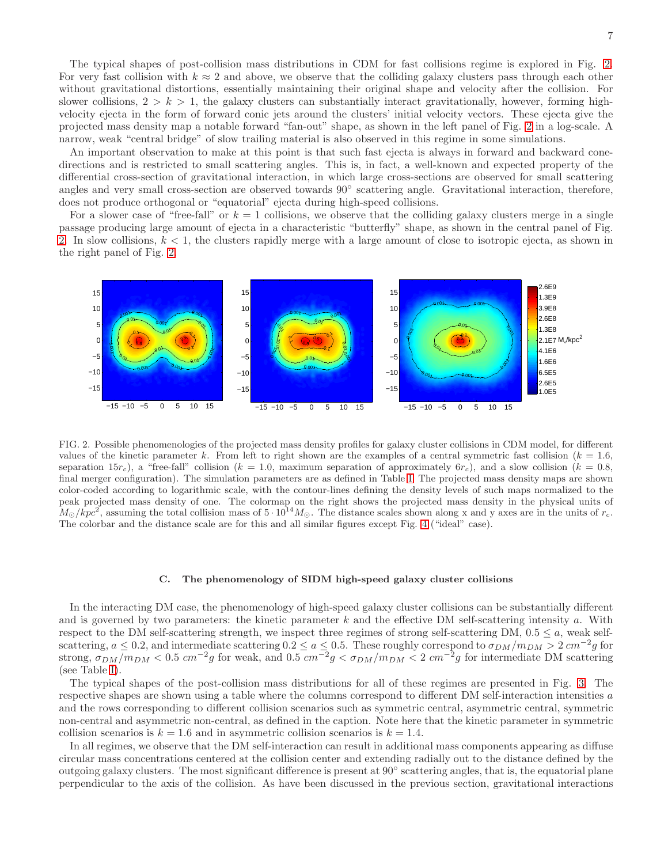The typical shapes of post-collision mass distributions in CDM for fast collisions regime is explored in Fig. [2.](#page-6-0) For very fast collision with  $k \approx 2$  and above, we observe that the colliding galaxy clusters pass through each other without gravitational distortions, essentially maintaining their original shape and velocity after the collision. For slower collisions,  $2 > k > 1$ , the galaxy clusters can substantially interact gravitationally, however, forming highvelocity ejecta in the form of forward conic jets around the clusters' initial velocity vectors. These ejecta give the projected mass density map a notable forward "fan-out" shape, as shown in the left panel of Fig. [2](#page-6-0) in a log-scale. A narrow, weak "central bridge" of slow trailing material is also observed in this regime in some simulations.

An important observation to make at this point is that such fast ejecta is always in forward and backward conedirections and is restricted to small scattering angles. This is, in fact, a well-known and expected property of the differential cross-section of gravitational interaction, in which large cross-sections are observed for small scattering angles and very small cross-section are observed towards 90◦ scattering angle. Gravitational interaction, therefore, does not produce orthogonal or "equatorial" ejecta during high-speed collisions.

For a slower case of "free-fall" or  $k = 1$  collisions, we observe that the colliding galaxy clusters merge in a single passage producing large amount of ejecta in a characteristic "butterfly" shape, as shown in the central panel of Fig. [2.](#page-6-0) In slow collisions,  $k < 1$ , the clusters rapidly merge with a large amount of close to isotropic ejecta, as shown in the right panel of Fig. [2.](#page-6-0)



<span id="page-6-0"></span>FIG. 2. Possible phenomenologies of the projected mass density profiles for galaxy cluster collisions in CDM model, for different values of the kinetic parameter k. From left to right shown are the examples of a central symmetric fast collision ( $k = 1.6$ , separation 15rc), a "free-fall" collision ( $k = 1.0$ , maximum separation of approximately  $6r_c$ ), and a slow collision ( $k = 0.8$ , final merger configuration). The simulation parameters are as defined in Table [I.](#page-4-0) The projected mass density maps are shown color-coded according to logarithmic scale, with the contour-lines defining the density levels of such maps normalized to the peak projected mass density of one. The colormap on the right shows the projected mass density in the physical units of  $M_{\odot}/kpc^2$ , assuming the total collision mass of  $5 \cdot 10^{14} M_{\odot}$ . The distance scales shown along x and y axes are in the units of  $r_c$ . The colorbar and the distance scale are for this and all similar figures except Fig. [4](#page-9-0) ("ideal" case).

### C. The phenomenology of SIDM high-speed galaxy cluster collisions

In the interacting DM case, the phenomenology of high-speed galaxy cluster collisions can be substantially different and is governed by two parameters: the kinetic parameter  $k$  and the effective DM self-scattering intensity  $a$ . With respect to the DM self-scattering strength, we inspect three regimes of strong self-scattering DM,  $0.5 \le a$ , weak selfscattering,  $a \le 0.2$ , and intermediate scattering  $0.2 \le a \le 0.5$ . These roughly correspond to  $\sigma_{DM}/m_{DM} > 2$   $cm^{-2}g$  for strong,  $\sigma_{DM}/m_{DM} < 0.5$   $cm^{-2}g$  for weak, and  $0.5$   $cm^{-2}g < \sigma_{DM}/m_{DM} < 2$   $cm^{-2}g$  for intermediate DM scattering (see Table [I\)](#page-4-0).

The typical shapes of the post-collision mass distributions for all of these regimes are presented in Fig. [3.](#page-8-0) The respective shapes are shown using a table where the columns correspond to different DM self-interaction intensities a and the rows corresponding to different collision scenarios such as symmetric central, asymmetric central, symmetric non-central and asymmetric non-central, as defined in the caption. Note here that the kinetic parameter in symmetric collision scenarios is  $k = 1.6$  and in asymmetric collision scenarios is  $k = 1.4$ .

In all regimes, we observe that the DM self-interaction can result in additional mass components appearing as diffuse circular mass concentrations centered at the collision center and extending radially out to the distance defined by the outgoing galaxy clusters. The most significant difference is present at 90° scattering angles, that is, the equatorial plane perpendicular to the axis of the collision. As have been discussed in the previous section, gravitational interactions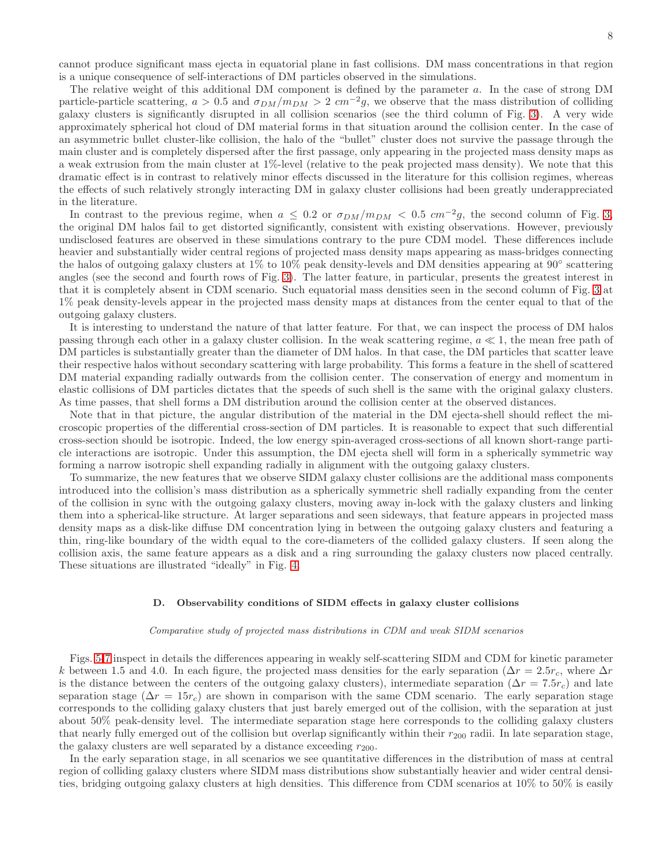cannot produce significant mass ejecta in equatorial plane in fast collisions. DM mass concentrations in that region is a unique consequence of self-interactions of DM particles observed in the simulations.

The relative weight of this additional DM component is defined by the parameter a. In the case of strong DM particle-particle scattering,  $a > 0.5$  and  $\sigma_{DM}/m_{DM} > 2$   $cm^{-2}g$ , we observe that the mass distribution of colliding galaxy clusters is significantly disrupted in all collision scenarios (see the third column of Fig. [3\)](#page-8-0). A very wide approximately spherical hot cloud of DM material forms in that situation around the collision center. In the case of an asymmetric bullet cluster-like collision, the halo of the "bullet" cluster does not survive the passage through the main cluster and is completely dispersed after the first passage, only appearing in the projected mass density maps as a weak extrusion from the main cluster at 1%-level (relative to the peak projected mass density). We note that this dramatic effect is in contrast to relatively minor effects discussed in the literature for this collision regimes, whereas the effects of such relatively strongly interacting DM in galaxy cluster collisions had been greatly underappreciated in the literature.

In contrast to the previous regime, when  $a \leq 0.2$  or  $\sigma_{DM}/m_{DM} < 0.5$   $cm^{-2}g$ , the second column of Fig. [3,](#page-8-0) the original DM halos fail to get distorted significantly, consistent with existing observations. However, previously undisclosed features are observed in these simulations contrary to the pure CDM model. These differences include heavier and substantially wider central regions of projected mass density maps appearing as mass-bridges connecting the halos of outgoing galaxy clusters at 1% to 10% peak density-levels and DM densities appearing at 90◦ scattering angles (see the second and fourth rows of Fig. [3\)](#page-8-0). The latter feature, in particular, presents the greatest interest in that it is completely absent in CDM scenario. Such equatorial mass densities seen in the second column of Fig. [3](#page-8-0) at 1% peak density-levels appear in the projected mass density maps at distances from the center equal to that of the outgoing galaxy clusters.

It is interesting to understand the nature of that latter feature. For that, we can inspect the process of DM halos passing through each other in a galaxy cluster collision. In the weak scattering regime,  $a \ll 1$ , the mean free path of DM particles is substantially greater than the diameter of DM halos. In that case, the DM particles that scatter leave their respective halos without secondary scattering with large probability. This forms a feature in the shell of scattered DM material expanding radially outwards from the collision center. The conservation of energy and momentum in elastic collisions of DM particles dictates that the speeds of such shell is the same with the original galaxy clusters. As time passes, that shell forms a DM distribution around the collision center at the observed distances.

Note that in that picture, the angular distribution of the material in the DM ejecta-shell should reflect the microscopic properties of the differential cross-section of DM particles. It is reasonable to expect that such differential cross-section should be isotropic. Indeed, the low energy spin-averaged cross-sections of all known short-range particle interactions are isotropic. Under this assumption, the DM ejecta shell will form in a spherically symmetric way forming a narrow isotropic shell expanding radially in alignment with the outgoing galaxy clusters.

To summarize, the new features that we observe SIDM galaxy cluster collisions are the additional mass components introduced into the collision's mass distribution as a spherically symmetric shell radially expanding from the center of the collision in sync with the outgoing galaxy clusters, moving away in-lock with the galaxy clusters and linking them into a spherical-like structure. At larger separations and seen sideways, that feature appears in projected mass density maps as a disk-like diffuse DM concentration lying in between the outgoing galaxy clusters and featuring a thin, ring-like boundary of the width equal to the core-diameters of the collided galaxy clusters. If seen along the collision axis, the same feature appears as a disk and a ring surrounding the galaxy clusters now placed centrally. These situations are illustrated "ideally" in Fig. [4.](#page-9-0)

### <span id="page-7-0"></span>D. Observability conditions of SIDM effects in galaxy cluster collisions

# Comparative study of projected mass distributions in CDM and weak SIDM scenarios

Figs. [5-](#page-10-0)[7](#page-12-0) inspect in details the differences appearing in weakly self-scattering SIDM and CDM for kinetic parameter k between 1.5 and 4.0. In each figure, the projected mass densities for the early separation ( $\Delta r = 2.5r_c$ , where  $\Delta r$ is the distance between the centers of the outgoing galaxy clusters), intermediate separation ( $\Delta r = 7.5r_c$ ) and late separation stage ( $\Delta r = 15r_c$ ) are shown in comparison with the same CDM scenario. The early separation stage corresponds to the colliding galaxy clusters that just barely emerged out of the collision, with the separation at just about 50% peak-density level. The intermediate separation stage here corresponds to the colliding galaxy clusters that nearly fully emerged out of the collision but overlap significantly within their  $r_{200}$  radii. In late separation stage, the galaxy clusters are well separated by a distance exceeding  $r_{200}$ .

In the early separation stage, in all scenarios we see quantitative differences in the distribution of mass at central region of colliding galaxy clusters where SIDM mass distributions show substantially heavier and wider central densities, bridging outgoing galaxy clusters at high densities. This difference from CDM scenarios at 10% to 50% is easily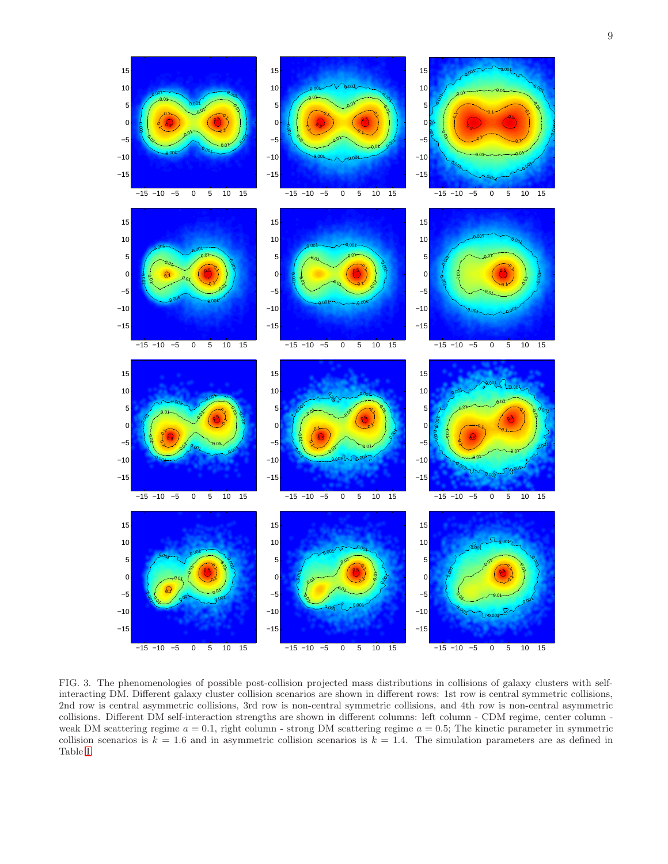

<span id="page-8-0"></span>FIG. 3. The phenomenologies of possible post-collision projected mass distributions in collisions of galaxy clusters with selfinteracting DM. Different galaxy cluster collision scenarios are shown in different rows: 1st row is central symmetric collisions, 2nd row is central asymmetric collisions, 3rd row is non-central symmetric collisions, and 4th row is non-central asymmetric collisions. Different DM self-interaction strengths are shown in different columns: left column - CDM regime, center column weak DM scattering regime  $a = 0.1$ , right column - strong DM scattering regime  $a = 0.5$ ; The kinetic parameter in symmetric collision scenarios is  $k = 1.6$  and in asymmetric collision scenarios is  $k = 1.4$ . The simulation parameters are as defined in Table [I.](#page-4-0)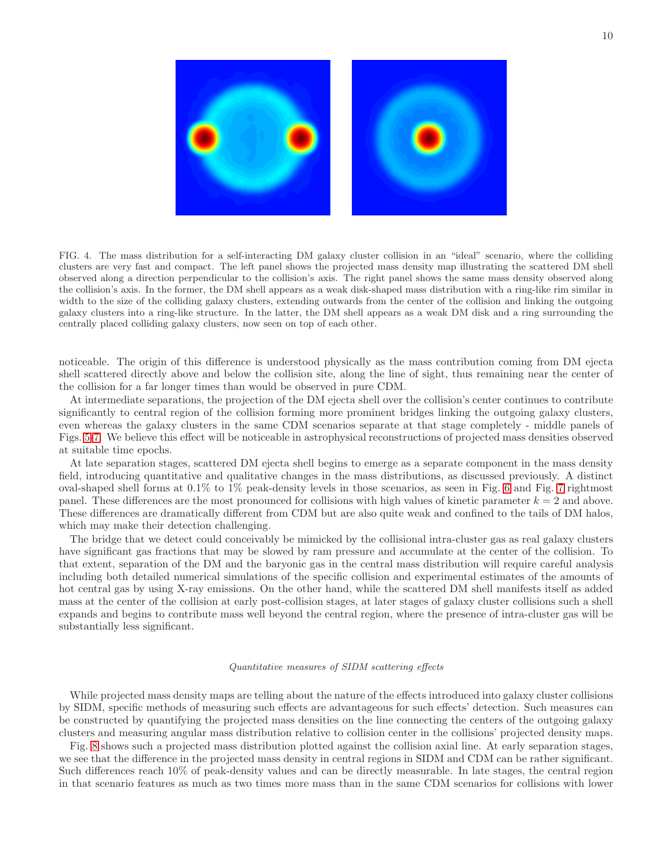

FIG. 4. The mass distribution for a self-interacting DM galaxy cluster collision in an "ideal" scenario, where the colliding clusters are very fast and compact. The left panel shows the projected mass density map illustrating the scattered DM shell observed along a direction perpendicular to the collision's axis. The right panel shows the same mass density observed along the collision's axis. In the former, the DM shell appears as a weak disk-shaped mass distribution with a ring-like rim similar in width to the size of the colliding galaxy clusters, extending outwards from the center of the collision and linking the outgoing galaxy clusters into a ring-like structure. In the latter, the DM shell appears as a weak DM disk and a ring surrounding the centrally placed colliding galaxy clusters, now seen on top of each other.

<span id="page-9-0"></span>noticeable. The origin of this difference is understood physically as the mass contribution coming from DM ejecta shell scattered directly above and below the collision site, along the line of sight, thus remaining near the center of the collision for a far longer times than would be observed in pure CDM.

At intermediate separations, the projection of the DM ejecta shell over the collision's center continues to contribute significantly to central region of the collision forming more prominent bridges linking the outgoing galaxy clusters, even whereas the galaxy clusters in the same CDM scenarios separate at that stage completely - middle panels of Figs. [5-](#page-10-0)[7.](#page-12-0) We believe this effect will be noticeable in astrophysical reconstructions of projected mass densities observed at suitable time epochs.

At late separation stages, scattered DM ejecta shell begins to emerge as a separate component in the mass density field, introducing quantitative and qualitative changes in the mass distributions, as discussed previously. A distinct oval-shaped shell forms at 0.1% to 1% peak-density levels in those scenarios, as seen in Fig. [6](#page-11-0) and Fig. [7](#page-12-0) rightmost panel. These differences are the most pronounced for collisions with high values of kinetic parameter  $k = 2$  and above. These differences are dramatically different from CDM but are also quite weak and confined to the tails of DM halos, which may make their detection challenging.

The bridge that we detect could conceivably be mimicked by the collisional intra-cluster gas as real galaxy clusters have significant gas fractions that may be slowed by ram pressure and accumulate at the center of the collision. To that extent, separation of the DM and the baryonic gas in the central mass distribution will require careful analysis including both detailed numerical simulations of the specific collision and experimental estimates of the amounts of hot central gas by using X-ray emissions. On the other hand, while the scattered DM shell manifests itself as added mass at the center of the collision at early post-collision stages, at later stages of galaxy cluster collisions such a shell expands and begins to contribute mass well beyond the central region, where the presence of intra-cluster gas will be substantially less significant.

#### Quantitative measures of SIDM scattering effects

While projected mass density maps are telling about the nature of the effects introduced into galaxy cluster collisions by SIDM, specific methods of measuring such effects are advantageous for such effects' detection. Such measures can be constructed by quantifying the projected mass densities on the line connecting the centers of the outgoing galaxy clusters and measuring angular mass distribution relative to collision center in the collisions' projected density maps.

Fig. [8](#page-12-1) shows such a projected mass distribution plotted against the collision axial line. At early separation stages, we see that the difference in the projected mass density in central regions in SIDM and CDM can be rather significant. Such differences reach 10% of peak-density values and can be directly measurable. In late stages, the central region in that scenario features as much as two times more mass than in the same CDM scenarios for collisions with lower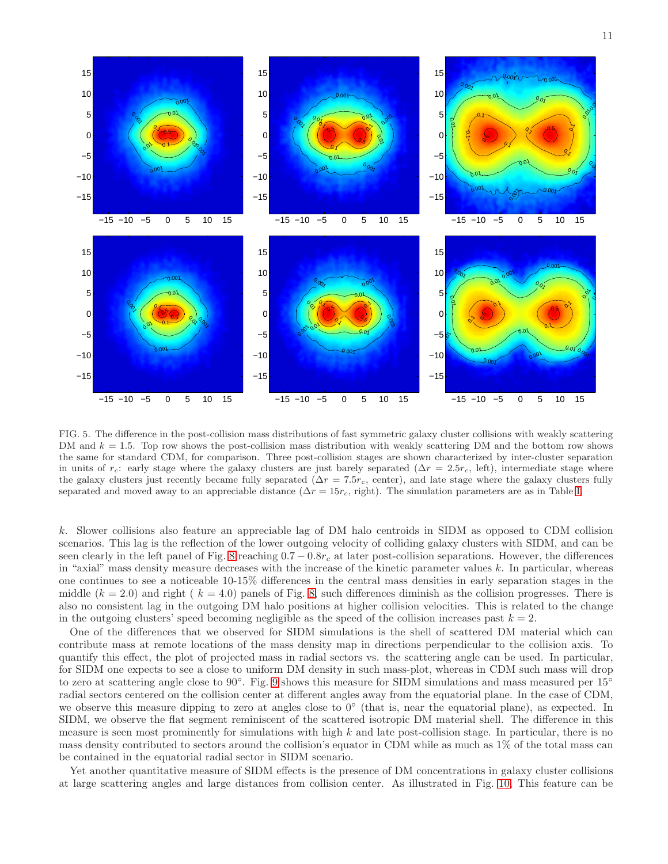

<span id="page-10-0"></span>FIG. 5. The difference in the post-collision mass distributions of fast symmetric galaxy cluster collisions with weakly scattering DM and  $k = 1.5$ . Top row shows the post-collision mass distribution with weakly scattering DM and the bottom row shows the same for standard CDM, for comparison. Three post-collision stages are shown characterized by inter-cluster separation in units of  $r_c$ : early stage where the galaxy clusters are just barely separated ( $\Delta r = 2.5r_c$ , left), intermediate stage where the galaxy clusters just recently became fully separated ( $\Delta r = 7.5r_c$ , center), and late stage where the galaxy clusters fully separated and moved away to an appreciable distance ( $\Delta r = 15r_c$ , right). The simulation parameters are as in Table [I.](#page-4-0)

k. Slower collisions also feature an appreciable lag of DM halo centroids in SIDM as opposed to CDM collision scenarios. This lag is the reflection of the lower outgoing velocity of colliding galaxy clusters with SIDM, and can be seen clearly in the left panel of Fig. [8](#page-12-1) reaching  $0.7 - 0.8r_c$  at later post-collision separations. However, the differences in "axial" mass density measure decreases with the increase of the kinetic parameter values  $k$ . In particular, whereas one continues to see a noticeable 10-15% differences in the central mass densities in early separation stages in the middle  $(k = 2.0)$  and right  $(k = 4.0)$  panels of Fig. [8,](#page-12-1) such differences diminish as the collision progresses. There is also no consistent lag in the outgoing DM halo positions at higher collision velocities. This is related to the change in the outgoing clusters' speed becoming negligible as the speed of the collision increases past  $k = 2$ .

One of the differences that we observed for SIDM simulations is the shell of scattered DM material which can contribute mass at remote locations of the mass density map in directions perpendicular to the collision axis. To quantify this effect, the plot of projected mass in radial sectors vs. the scattering angle can be used. In particular, for SIDM one expects to see a close to uniform DM density in such mass-plot, whereas in CDM such mass will drop to zero at scattering angle close to [9](#page-13-0)0°. Fig. 9 shows this measure for SIDM simulations and mass measured per 15° radial sectors centered on the collision center at different angles away from the equatorial plane. In the case of CDM, we observe this measure dipping to zero at angles close to  $0^{\circ}$  (that is, near the equatorial plane), as expected. In SIDM, we observe the flat segment reminiscent of the scattered isotropic DM material shell. The difference in this measure is seen most prominently for simulations with high  $k$  and late post-collision stage. In particular, there is no mass density contributed to sectors around the collision's equator in CDM while as much as 1% of the total mass can be contained in the equatorial radial sector in SIDM scenario.

Yet another quantitative measure of SIDM effects is the presence of DM concentrations in galaxy cluster collisions at large scattering angles and large distances from collision center. As illustrated in Fig. [10,](#page-13-1) This feature can be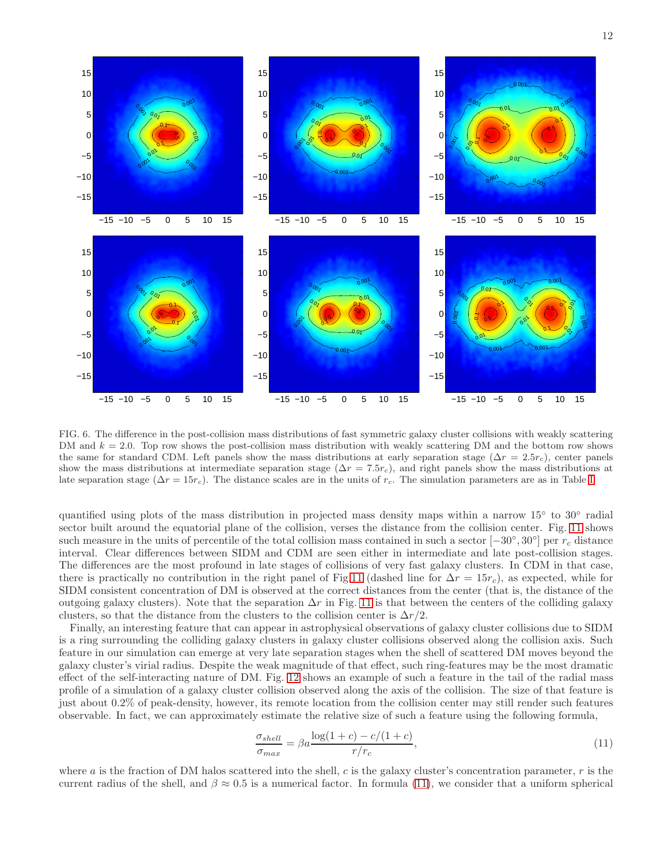

<span id="page-11-0"></span>FIG. 6. The difference in the post-collision mass distributions of fast symmetric galaxy cluster collisions with weakly scattering DM and  $k = 2.0$ . Top row shows the post-collision mass distribution with weakly scattering DM and the bottom row shows the same for standard CDM. Left panels show the mass distributions at early separation stage ( $\Delta r = 2.5r_c$ ), center panels show the mass distributions at intermediate separation stage ( $\Delta r = 7.5r_c$ ), and right panels show the mass distributions at late separation stage ( $\Delta r = 15r_c$ ). The distance scales are in the units of r<sub>c</sub>. The simulation parameters are as in Table [I.](#page-4-0)

quantified using plots of the mass distribution in projected mass density maps within a narrow 15° to 30° radial sector built around the equatorial plane of the collision, verses the distance from the collision center. Fig. [11](#page-13-2) shows such measure in the units of percentile of the total collision mass contained in such a sector  $[-30^{\circ}, 30^{\circ}]$  per  $r_c$  distance interval. Clear differences between SIDM and CDM are seen either in intermediate and late post-collision stages. The differences are the most profound in late stages of collisions of very fast galaxy clusters. In CDM in that case, there is practically no contribution in the right panel of Fig[.11](#page-13-2) (dashed line for  $\Delta r = 15r_c$ ), as expected, while for SIDM consistent concentration of DM is observed at the correct distances from the center (that is, the distance of the outgoing galaxy clusters). Note that the separation  $\Delta r$  in Fig. [11](#page-13-2) is that between the centers of the colliding galaxy clusters, so that the distance from the clusters to the collision center is  $\Delta r/2$ .

Finally, an interesting feature that can appear in astrophysical observations of galaxy cluster collisions due to SIDM is a ring surrounding the colliding galaxy clusters in galaxy cluster collisions observed along the collision axis. Such feature in our simulation can emerge at very late separation stages when the shell of scattered DM moves beyond the galaxy cluster's virial radius. Despite the weak magnitude of that effect, such ring-features may be the most dramatic effect of the self-interacting nature of DM. Fig. [12](#page-14-0) shows an example of such a feature in the tail of the radial mass profile of a simulation of a galaxy cluster collision observed along the axis of the collision. The size of that feature is just about 0.2% of peak-density, however, its remote location from the collision center may still render such features observable. In fact, we can approximately estimate the relative size of such a feature using the following formula,

<span id="page-11-1"></span>
$$
\frac{\sigma_{shell}}{\sigma_{max}} = \beta a \frac{\log(1+c) - c/(1+c)}{r/r_c},\tag{11}
$$

where a is the fraction of DM halos scattered into the shell, c is the galaxy cluster's concentration parameter,  $r$  is the current radius of the shell, and  $\beta \approx 0.5$  is a numerical factor. In formula [\(11\)](#page-11-1), we consider that a uniform spherical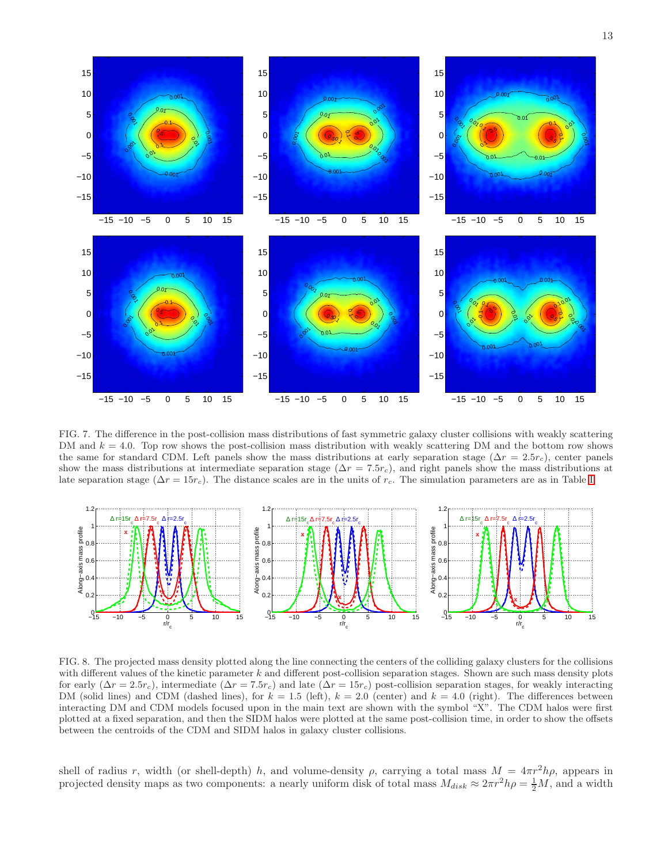

<span id="page-12-0"></span>FIG. 7. The difference in the post-collision mass distributions of fast symmetric galaxy cluster collisions with weakly scattering DM and  $k = 4.0$ . Top row shows the post-collision mass distribution with weakly scattering DM and the bottom row shows the same for standard CDM. Left panels show the mass distributions at early separation stage ( $\Delta r = 2.5r_c$ ), center panels show the mass distributions at intermediate separation stage ( $\Delta r = 7.5r_c$ ), and right panels show the mass distributions at late separation stage ( $\Delta r = 15r_c$ ). The distance scales are in the units of  $r_c$ . The simulation parameters are as in Table [I.](#page-4-0)



<span id="page-12-1"></span>FIG. 8. The projected mass density plotted along the line connecting the centers of the colliding galaxy clusters for the collisions with different values of the kinetic parameter  $k$  and different post-collision separation stages. Shown are such mass density plots for early  $(\Delta r = 2.5r_c)$ , intermediate  $(\Delta r = 7.5r_c)$  and late  $(\Delta r = 15r_c)$  post-collision separation stages, for weakly interacting DM (solid lines) and CDM (dashed lines), for  $k = 1.5$  (left),  $k = 2.0$  (center) and  $k = 4.0$  (right). The differences between interacting DM and CDM models focused upon in the main text are shown with the symbol "X". The CDM halos were first plotted at a fixed separation, and then the SIDM halos were plotted at the same post-collision time, in order to show the offsets between the centroids of the CDM and SIDM halos in galaxy cluster collisions.

shell of radius r, width (or shell-depth) h, and volume-density  $\rho$ , carrying a total mass  $M = 4\pi r^2 h \rho$ , appears in projected density maps as two components: a nearly uniform disk of total mass  $M_{disk} \approx 2\pi r^2 h\rho = \frac{1}{2}M$ , and a width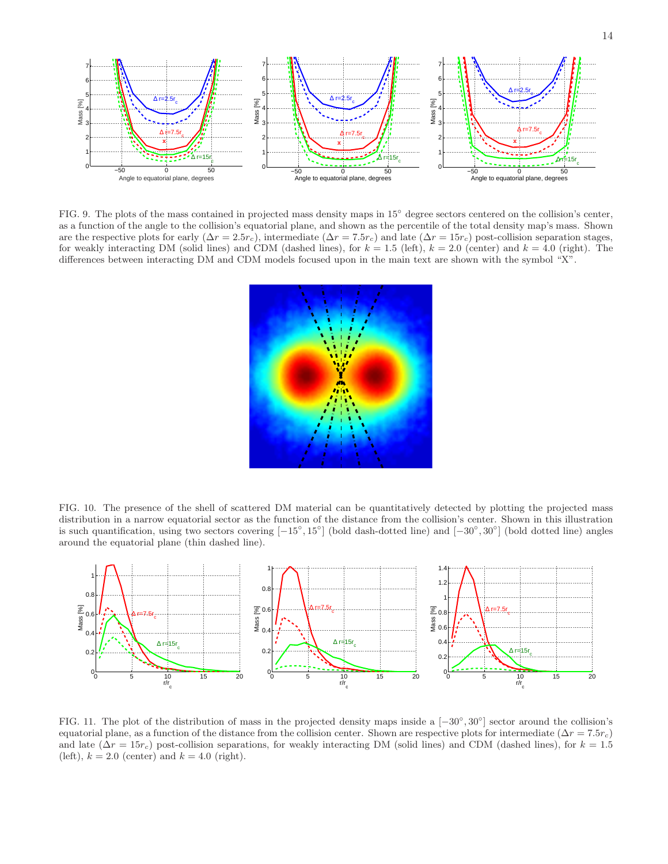

<span id="page-13-0"></span>FIG. 9. The plots of the mass contained in projected mass density maps in 15° degree sectors centered on the collision's center, as a function of the angle to the collision's equatorial plane, and shown as the percentile of the total density map's mass. Shown are the respective plots for early  $(\Delta r = 2.5r_c)$ , intermediate  $(\Delta r = 7.5r_c)$  and late  $(\Delta r = 15r_c)$  post-collision separation stages, for weakly interacting DM (solid lines) and CDM (dashed lines), for  $k = 1.5$  (left),  $k = 2.0$  (center) and  $k = 4.0$  (right). The differences between interacting DM and CDM models focused upon in the main text are shown with the symbol "X".



<span id="page-13-1"></span>FIG. 10. The presence of the shell of scattered DM material can be quantitatively detected by plotting the projected mass distribution in a narrow equatorial sector as the function of the distance from the collision's center. Shown in this illustration is such quantification, using two sectors covering  $[-15^{\circ}, 15^{\circ}]$  (bold dash-dotted line) and  $[-30^{\circ}, 30^{\circ}]$  (bold dotted line) angles around the equatorial plane (thin dashed line).



<span id="page-13-2"></span>FIG. 11. The plot of the distribution of mass in the projected density maps inside a [−30◦ , 30◦ ] sector around the collision's equatorial plane, as a function of the distance from the collision center. Shown are respective plots for intermediate ( $\Delta r = 7.5r_c$ ) and late  $(\Delta r = 15r_c)$  post-collision separations, for weakly interacting DM (solid lines) and CDM (dashed lines), for  $k = 1.5$ (left),  $k = 2.0$  (center) and  $k = 4.0$  (right).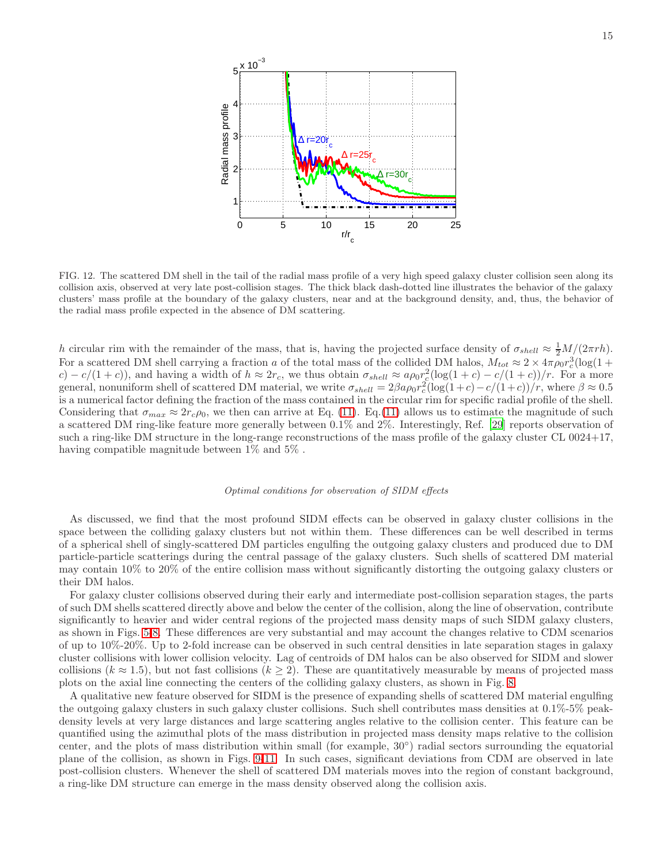

<span id="page-14-0"></span>FIG. 12. The scattered DM shell in the tail of the radial mass profile of a very high speed galaxy cluster collision seen along its collision axis, observed at very late post-collision stages. The thick black dash-dotted line illustrates the behavior of the galaxy clusters' mass profile at the boundary of the galaxy clusters, near and at the background density, and, thus, the behavior of the radial mass profile expected in the absence of DM scattering.

h circular rim with the remainder of the mass, that is, having the projected surface density of  $\sigma_{shell} \approx \frac{1}{2}M/(2\pi rh)$ . For a scattered DM shell carrying a fraction a of the total mass of the collided DM halos,  $M_{tot} \approx 2 \times 4\pi \rho_0 r_c^3 (\log(1 +$  $c$ ) –  $c/(1+c)$ , and having a width of  $h \approx 2r_c$ , we thus obtain  $\sigma_{shell} \approx a\rho_0 r_c^2(\log(1+c) - c/(1+c))/r$ . For a more general, nonuniform shell of scattered DM material, we write  $\sigma_{shell} = 2\beta a \rho_0 r_c^2 (\log(1+c) - c/(1+c))/r$ , where  $\beta \approx 0.5$ is a numerical factor defining the fraction of the mass contained in the circular rim for specific radial profile of the shell. Considering that  $\sigma_{max} \approx 2r_c\rho_0$ , we then can arrive at Eq. [\(11\)](#page-11-1). Eq. [\(11\)](#page-11-1) allows us to estimate the magnitude of such a scattered DM ring-like feature more generally between 0.1% and 2%. Interestingly, Ref. [\[29](#page-19-22)] reports observation of such a ring-like DM structure in the long-range reconstructions of the mass profile of the galaxy cluster CL 0024+17, having compatible magnitude between 1% and 5% .

## Optimal conditions for observation of SIDM effects

As discussed, we find that the most profound SIDM effects can be observed in galaxy cluster collisions in the space between the colliding galaxy clusters but not within them. These differences can be well described in terms of a spherical shell of singly-scattered DM particles engulfing the outgoing galaxy clusters and produced due to DM particle-particle scatterings during the central passage of the galaxy clusters. Such shells of scattered DM material may contain 10% to 20% of the entire collision mass without significantly distorting the outgoing galaxy clusters or their DM halos.

For galaxy cluster collisions observed during their early and intermediate post-collision separation stages, the parts of such DM shells scattered directly above and below the center of the collision, along the line of observation, contribute significantly to heavier and wider central regions of the projected mass density maps of such SIDM galaxy clusters, as shown in Figs. [5-](#page-10-0)[8.](#page-12-1) These differences are very substantial and may account the changes relative to CDM scenarios of up to 10%-20%. Up to 2-fold increase can be observed in such central densities in late separation stages in galaxy cluster collisions with lower collision velocity. Lag of centroids of DM halos can be also observed for SIDM and slower collisions ( $k \approx 1.5$ ), but not fast collisions ( $k \ge 2$ ). These are quantitatively measurable by means of projected mass plots on the axial line connecting the centers of the colliding galaxy clusters, as shown in Fig. [8.](#page-12-1)

A qualitative new feature observed for SIDM is the presence of expanding shells of scattered DM material engulfing the outgoing galaxy clusters in such galaxy cluster collisions. Such shell contributes mass densities at 0.1%-5% peakdensity levels at very large distances and large scattering angles relative to the collision center. This feature can be quantified using the azimuthal plots of the mass distribution in projected mass density maps relative to the collision center, and the plots of mass distribution within small (for example, 30◦ ) radial sectors surrounding the equatorial plane of the collision, as shown in Figs. [9](#page-13-0)[-11.](#page-13-2) In such cases, significant deviations from CDM are observed in late post-collision clusters. Whenever the shell of scattered DM materials moves into the region of constant background, a ring-like DM structure can emerge in the mass density observed along the collision axis.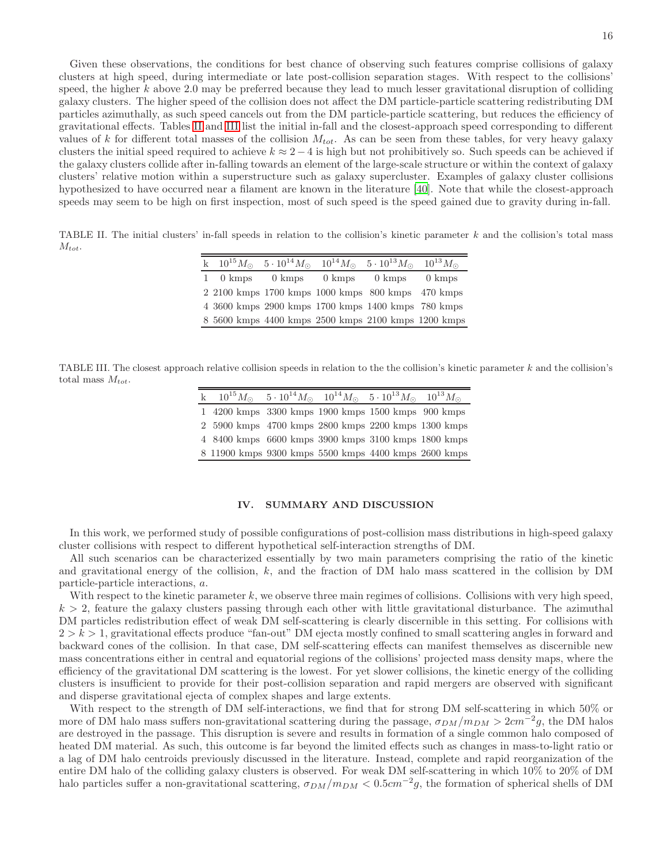Given these observations, the conditions for best chance of observing such features comprise collisions of galaxy clusters at high speed, during intermediate or late post-collision separation stages. With respect to the collisions' speed, the higher  $k$  above 2.0 may be preferred because they lead to much lesser gravitational disruption of colliding galaxy clusters. The higher speed of the collision does not affect the DM particle-particle scattering redistributing DM particles azimuthally, as such speed cancels out from the DM particle-particle scattering, but reduces the efficiency of gravitational effects. Tables [II](#page-15-1) and [III](#page-15-2) list the initial in-fall and the closest-approach speed corresponding to different values of k for different total masses of the collision  $M_{tot}$ . As can be seen from these tables, for very heavy galaxy clusters the initial speed required to achieve  $k \approx 2-4$  is high but not prohibitively so. Such speeds can be achieved if the galaxy clusters collide after in-falling towards an element of the large-scale structure or within the context of galaxy clusters' relative motion within a superstructure such as galaxy supercluster. Examples of galaxy cluster collisions hypothesized to have occurred near a filament are known in the literature [\[40\]](#page-19-21). Note that while the closest-approach speeds may seem to be high on first inspection, most of such speed is the speed gained due to gravity during in-fall.

<span id="page-15-1"></span>TABLE II. The initial clusters' in-fall speeds in relation to the collision's kinetic parameter k and the collision's total mass  $M_{tot}.$ 

|  |  | k $10^{15} M_{\odot}$ $5 \cdot 10^{14} M_{\odot}$ $10^{14} M_{\odot}$ $5 \cdot 10^{13} M_{\odot}$ $10^{13} M_{\odot}$ |  |
|--|--|-----------------------------------------------------------------------------------------------------------------------|--|
|  |  | 1 0 kmps 0 kmps 0 kmps 0 kmps 0 kmps                                                                                  |  |
|  |  | 2 2100 kmps 1700 kmps 1000 kmps 800 kmps 470 kmps                                                                     |  |
|  |  | 4 3600 kmps 2900 kmps 1700 kmps 1400 kmps 780 kmps                                                                    |  |
|  |  | 8 5600 kmps 4400 kmps 2500 kmps 2100 kmps 1200 kmps                                                                   |  |

<span id="page-15-2"></span>TABLE III. The closest approach relative collision speeds in relation to the the collision's kinetic parameter  $k$  and the collision's total mass  $M_{tot}$ .

|  |  | k $10^{15} M_{\odot}$ $5 \cdot 10^{14} M_{\odot}$ $10^{14} M_{\odot}$ $5 \cdot 10^{13} M_{\odot}$ $10^{13} M_{\odot}$ |
|--|--|-----------------------------------------------------------------------------------------------------------------------|
|  |  | 1 4200 kmps 3300 kmps 1900 kmps 1500 kmps 900 kmps                                                                    |
|  |  | 2 5900 kmps 4700 kmps 2800 kmps 2200 kmps 1300 kmps                                                                   |
|  |  | 4 8400 kmps 6600 kmps 3900 kmps 3100 kmps 1800 kmps                                                                   |
|  |  | 8 11900 kmps 9300 kmps 5500 kmps 4400 kmps 2600 kmps                                                                  |

## <span id="page-15-0"></span>IV. SUMMARY AND DISCUSSION

In this work, we performed study of possible configurations of post-collision mass distributions in high-speed galaxy cluster collisions with respect to different hypothetical self-interaction strengths of DM.

All such scenarios can be characterized essentially by two main parameters comprising the ratio of the kinetic and gravitational energy of the collision,  $k$ , and the fraction of DM halo mass scattered in the collision by DM particle-particle interactions, a.

With respect to the kinetic parameter k, we observe three main regimes of collisions. Collisions with very high speed,  $k > 2$ , feature the galaxy clusters passing through each other with little gravitational disturbance. The azimuthal DM particles redistribution effect of weak DM self-scattering is clearly discernible in this setting. For collisions with  $2 > k > 1$ , gravitational effects produce "fan-out" DM ejecta mostly confined to small scattering angles in forward and backward cones of the collision. In that case, DM self-scattering effects can manifest themselves as discernible new mass concentrations either in central and equatorial regions of the collisions' projected mass density maps, where the efficiency of the gravitational DM scattering is the lowest. For yet slower collisions, the kinetic energy of the colliding clusters is insufficient to provide for their post-collision separation and rapid mergers are observed with significant and disperse gravitational ejecta of complex shapes and large extents.

With respect to the strength of DM self-interactions, we find that for strong DM self-scattering in which 50% or more of DM halo mass suffers non-gravitational scattering during the passage,  $\sigma_{DM}/m_{DM} > 2cm^{-2}g$ , the DM halos are destroyed in the passage. This disruption is severe and results in formation of a single common halo composed of heated DM material. As such, this outcome is far beyond the limited effects such as changes in mass-to-light ratio or a lag of DM halo centroids previously discussed in the literature. Instead, complete and rapid reorganization of the entire DM halo of the colliding galaxy clusters is observed. For weak DM self-scattering in which 10% to 20% of DM halo particles suffer a non-gravitational scattering,  $\sigma_{DM}/m_{DM} < 0.5 cm^{-2}g$ , the formation of spherical shells of DM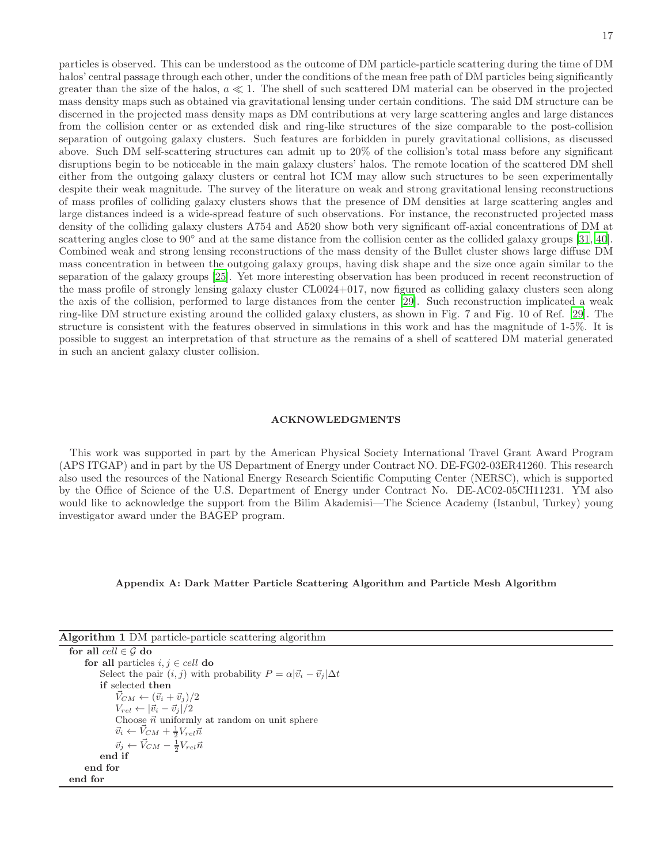particles is observed. This can be understood as the outcome of DM particle-particle scattering during the time of DM halos' central passage through each other, under the conditions of the mean free path of DM particles being significantly greater than the size of the halos,  $a \ll 1$ . The shell of such scattered DM material can be observed in the projected mass density maps such as obtained via gravitational lensing under certain conditions. The said DM structure can be discerned in the projected mass density maps as DM contributions at very large scattering angles and large distances from the collision center or as extended disk and ring-like structures of the size comparable to the post-collision separation of outgoing galaxy clusters. Such features are forbidden in purely gravitational collisions, as discussed above. Such DM self-scattering structures can admit up to 20% of the collision's total mass before any significant disruptions begin to be noticeable in the main galaxy clusters' halos. The remote location of the scattered DM shell either from the outgoing galaxy clusters or central hot ICM may allow such structures to be seen experimentally despite their weak magnitude. The survey of the literature on weak and strong gravitational lensing reconstructions of mass profiles of colliding galaxy clusters shows that the presence of DM densities at large scattering angles and large distances indeed is a wide-spread feature of such observations. For instance, the reconstructed projected mass density of the colliding galaxy clusters A754 and A520 show both very significant off-axial concentrations of DM at scattering angles close to  $90°$  and at the same distance from the collision center as the collided galaxy groups [\[31,](#page-19-8) [40\]](#page-19-21). Combined weak and strong lensing reconstructions of the mass density of the Bullet cluster shows large diffuse DM mass concentration in between the outgoing galaxy groups, having disk shape and the size once again similar to the separation of the galaxy groups [\[25](#page-19-5)]. Yet more interesting observation has been produced in recent reconstruction of the mass profile of strongly lensing galaxy cluster CL0024+017, now figured as colliding galaxy clusters seen along the axis of the collision, performed to large distances from the center [\[29](#page-19-22)]. Such reconstruction implicated a weak ring-like DM structure existing around the collided galaxy clusters, as shown in Fig. 7 and Fig. 10 of Ref. [\[29\]](#page-19-22). The structure is consistent with the features observed in simulations in this work and has the magnitude of 1-5%. It is possible to suggest an interpretation of that structure as the remains of a shell of scattered DM material generated in such an ancient galaxy cluster collision.

### ACKNOWLEDGMENTS

This work was supported in part by the American Physical Society International Travel Grant Award Program (APS ITGAP) and in part by the US Department of Energy under Contract NO. DE-FG02-03ER41260. This research also used the resources of the National Energy Research Scientific Computing Center (NERSC), which is supported by the Office of Science of the U.S. Department of Energy under Contract No. DE-AC02-05CH11231. YM also would like to acknowledge the support from the Bilim Akademisi—The Science Academy (Istanbul, Turkey) young investigator award under the BAGEP program.

#### <span id="page-16-0"></span>Appendix A: Dark Matter Particle Scattering Algorithm and Particle Mesh Algorithm

<span id="page-16-1"></span>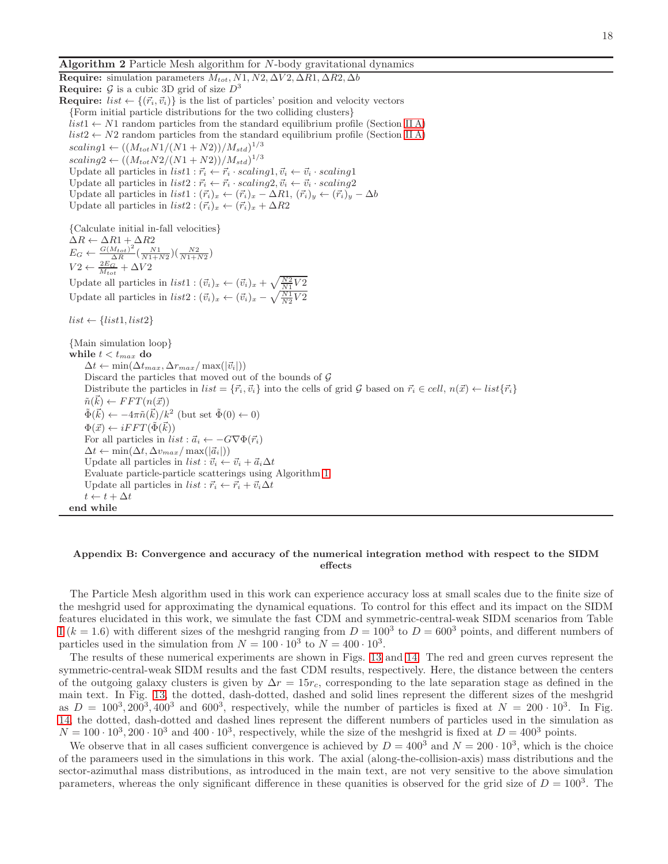**Algorithm 2** Particle Mesh algorithm for  $N$ -body gravitational dynamics

Require: simulation parameters  $M_{tot}$ , N1, N2,  $\Delta V$ 2,  $\Delta R$ 1,  $\Delta R$ 2,  $\Delta b$ **Require:**  $\mathcal{G}$  is a cubic 3D grid of size  $D^3$ **Require:**  $list \leftarrow \{(\vec{r}_i, \vec{v}_i)\}\$ is the list of particles' position and velocity vectors {Form initial particle distributions for the two colliding clusters}  $list1 \leftarrow N1$  random particles from the standard equilibrium profile (Section IIA)  $list2 \leftarrow N2$  random particles from the standard equilibrium profile (Section IIA)  $scaling1 \leftarrow ((M_{tot}N1/(N1+N2))/M_{std})^{1/3}$  $scaling2 \leftarrow ((M_{tot}N2/(N1+N2))/M_{std})^{1/3}$ Update all particles in  $list1 : \vec{r}_i \leftarrow \vec{r}_i \cdot scaling1, \vec{v}_i \leftarrow \vec{v}_i \cdot scaling1$ Update all particles in  $list2 : \vec{r}_i \leftarrow \vec{r}_i \cdot scaling2, \vec{v}_i \leftarrow \vec{v}_i \cdot scaling2$ Update all particles in  $list1 : (\vec{r_i})_x \leftarrow (\vec{r_i})_x - \Delta R1$ ,  $(\vec{r_i})_y \leftarrow (\vec{r_i})_y - \Delta b$ Update all particles in  $list2 : (\vec{r_i})_x \leftarrow (\vec{r_i})_x + \Delta R2$ {Calculate initial in-fall velocities}  $\Delta R \leftarrow \Delta R1 + \Delta R2$  $E_G \leftarrow \frac{G(M_{tot})^2}{\Delta R}$  $\frac{M_{tot})^2}{\Delta R} \left( \frac{N1}{N1+N2} \right) \left( \frac{N2}{N1+N2} \right)$  $V2 \leftarrow \frac{2E_G}{M_{tot}} + \Delta V2$ Update all particles in  $list1: (\vec{v}_i)_x \leftarrow (\vec{v}_i)_x + \sqrt{\frac{N2}{N1}}V2$ Update all particles in  $list2: (\vec{v}_i)_x \leftarrow (\vec{v}_i)_x - \sqrt{\frac{N1}{N2}V2}$  $list \leftarrow \{list1, list2\}$ {Main simulation loop} while  $t < t_{max}$  do  $\Delta t \leftarrow \min(\Delta t_{max}, \Delta r_{max}/\max(|\vec{v}_i|))$ Discard the particles that moved out of the bounds of  $G$ Distribute the particles in  $list = \{\vec{r_i}, \vec{v_i}\}$  into the cells of grid G based on  $\vec{r_i} \in cell, n(\vec{x}) \leftarrow list\{\vec{r_i}\}$  $\tilde{n}(\vec{k}) \leftarrow FFT(n(\vec{x}))$  $\tilde{\Phi}(\vec{k}) \leftarrow -4\pi \tilde{n}(\vec{k})/k^2$  (but set  $\tilde{\Phi}(0) \leftarrow 0$ )  $\Phi(\vec{x}) \leftarrow iFFT(\tilde{\Phi}(\vec{k}))$ For all particles in  $list : \vec{a}_i \leftarrow -G \nabla \Phi(\vec{r}_i)$  $\Delta t \leftarrow \min(\Delta t, \Delta v_{max}/\max(|\vec{a}_i|))$ Update all particles in  $list : \vec{v}_i \leftarrow \vec{v}_i + \vec{a}_i \Delta t$ Evaluate particle-particle scatterings using Algorithm [1](#page-16-1) Update all particles in  $list : \vec{r_i} \leftarrow \vec{r_i} + \vec{v_i} \Delta t$  $t \leftarrow t + \Delta t$ end while

## <span id="page-17-0"></span>Appendix B: Convergence and accuracy of the numerical integration method with respect to the SIDM effects

The Particle Mesh algorithm used in this work can experience accuracy loss at small scales due to the finite size of the meshgrid used for approximating the dynamical equations. To control for this effect and its impact on the SIDM features elucidated in this work, we simulate the fast CDM and symmetric-central-weak SIDM scenarios from Table [I](#page-4-0)  $(k = 1.6)$  with different sizes of the meshgrid ranging from  $D = 100^3$  to  $D = 600^3$  points, and different numbers of particles used in the simulation from  $N = 100 \cdot 10^3$  to  $N = 400 \cdot 10^3$ .

The results of these numerical experiments are shown in Figs. [13](#page-18-7) and [14.](#page-18-8) The red and green curves represent the symmetric-central-weak SIDM results and the fast CDM results, respectively. Here, the distance between the centers of the outgoing galaxy clusters is given by  $\Delta r = 15r_c$ , corresponding to the late separation stage as defined in the main text. In Fig. [13,](#page-18-7) the dotted, dash-dotted, dashed and solid lines represent the different sizes of the meshgrid as  $D = 100^3, 200^3, 400^3$  and 600<sup>3</sup>, respectively, while the number of particles is fixed at  $N = 200 \cdot 10^3$ . In Fig. [14,](#page-18-8) the dotted, dash-dotted and dashed lines represent the different numbers of particles used in the simulation as  $N = 100 \cdot 10^3, 200 \cdot 10^3$  and  $400 \cdot 10^3$ , respectively, while the size of the meshgrid is fixed at  $D = 400^3$  points.

We observe that in all cases sufficient convergence is achieved by  $D = 400^3$  and  $N = 200 \cdot 10^3$ , which is the choice of the parameers used in the simulations in this work. The axial (along-the-collision-axis) mass distributions and the sector-azimuthal mass distributions, as introduced in the main text, are not very sensitive to the above simulation parameters, whereas the only significant difference in these quanities is observed for the grid size of  $D = 100<sup>3</sup>$ . The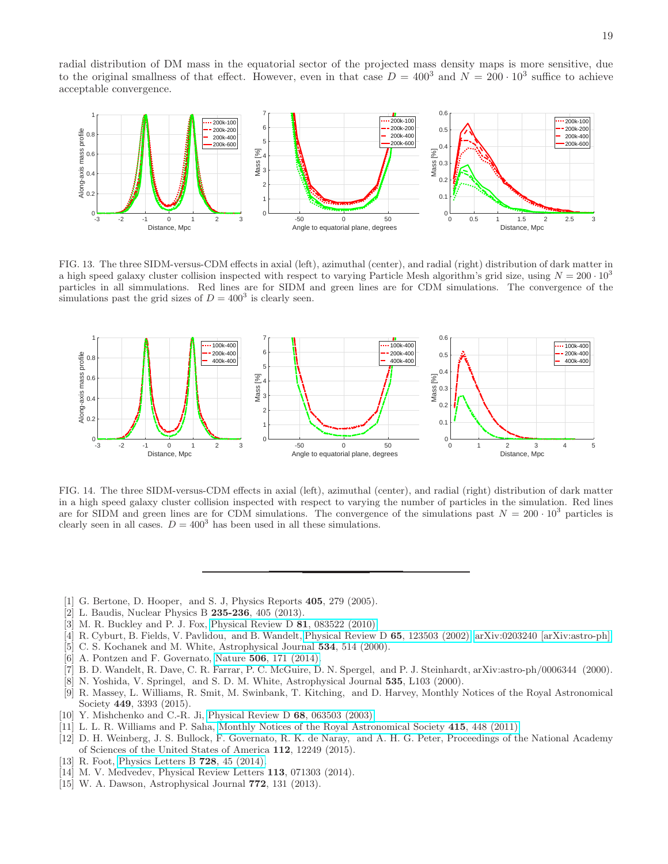radial distribution of DM mass in the equatorial sector of the projected mass density maps is more sensitive, due to the original smallness of that effect. However, even in that case  $D = 400^3$  and  $N = 200 \cdot 10^3$  suffice to achieve acceptable convergence.



<span id="page-18-7"></span>FIG. 13. The three SIDM-versus-CDM effects in axial (left), azimuthal (center), and radial (right) distribution of dark matter in a high speed galaxy cluster collision inspected with respect to varying Particle Mesh algorithm's grid size, using  $N = 200 \cdot 10^3$ particles in all simmulations. Red lines are for SIDM and green lines are for CDM simulations. The convergence of the simulations past the grid sizes of  $D = 400^3$  is clearly seen.



<span id="page-18-8"></span>FIG. 14. The three SIDM-versus-CDM effects in axial (left), azimuthal (center), and radial (right) distribution of dark matter in a high speed galaxy cluster collision inspected with respect to varying the number of particles in the simulation. Red lines are for SIDM and green lines are for CDM simulations. The convergence of the simulations past  $N = 200 \cdot 10^3$  particles is clearly seen in all cases.  $D = 400^3$  has been used in all these simulations.

- <span id="page-18-0"></span>[1] G. Bertone, D. Hooper, and S. J, Physics Reports 405, 279 (2005).
- <span id="page-18-1"></span>[2] L. Baudis, Nuclear Physics B 235-236, 405 (2013).
- <span id="page-18-2"></span>[3] M. R. Buckley and P. J. Fox, [Physical Review D](http://dx.doi.org/10.1103/PhysRevD.81.083522) 81, 083522 (2010).
- [4] R. Cyburt, B. Fields, V. Pavlidou, and B. Wandelt, [Physical Review D](http://link.aps.org/doi/10.1103/PhysRevD.65.123503) 65, 123503 (2002), [arXiv:0203240 \[arXiv:astro-ph\].](http://arxiv.org/abs/0203240)
- [5] C. S. Kochanek and M. White, Astrophysical Journal 534, 514 (2000).
- [6] A. Pontzen and F. Governato, Nature 506[, 171 \(2014\).](http://dx.doi.org/10.1038/nature12953)
- [7] B. D. Wandelt, R. Dave, C. R. Farrar, P. C. McGuire, D. N. Spergel, and P. J. Steinhardt, arXiv:astro-ph/0006344 (2000).
- [8] N. Yoshida, V. Springel, and S. D. M. White, Astrophysical Journal 535, L103 (2000).
- [9] R. Massey, L. Williams, R. Smit, M. Swinbank, T. Kitching, and D. Harvey, Monthly Notices of the Royal Astronomical Society 449, 3393 (2015).
- [10] Y. Mishchenko and C.-R. Ji, [Physical Review D](http://dx.doi.org/10.1103/PhysRevD.68.063503) 68, 063503 (2003).
- [11] L. L. R. Williams and P. Saha, [Monthly Notices of the Royal Astronomical Society](http://dx.doi.org/ 10.1111/j.1365-2966.2011.18716.x) 415, 448 (2011).
- <span id="page-18-3"></span>[12] D. H. Weinberg, J. S. Bullock, F. Governato, R. K. de Naray, and A. H. G. Peter, Proceedings of the National Academy of Sciences of the United States of America 112, 12249 (2015).
- <span id="page-18-4"></span>[13] R. Foot, [Physics Letters B](http://dx.doi.org/10.1016/j.physletb.2013.11.019) **728**, 45 (2014).
- <span id="page-18-5"></span>[14] M. V. Medvedev, Physical Review Letters **113**, 071303 (2014).
- <span id="page-18-6"></span>[15] W. A. Dawson, Astrophysical Journal 772, 131 (2013).